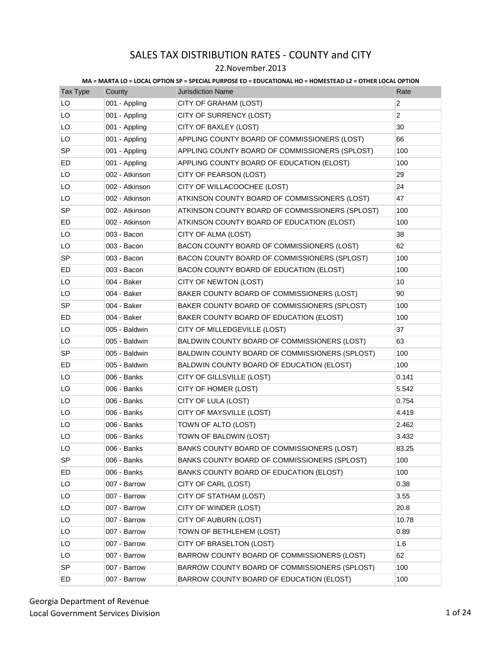### 22.November.2013

| <b>Tax Type</b> | County         | <b>Jurisdiction Name</b>                        | Rate           |
|-----------------|----------------|-------------------------------------------------|----------------|
| LO              | 001 - Appling  | CITY OF GRAHAM (LOST)                           | $\overline{c}$ |
| LO              | 001 - Appling  | CITY OF SURRENCY (LOST)                         | $\overline{c}$ |
| LO              | 001 - Appling  | CITY OF BAXLEY (LOST)                           | 30             |
| LO              | 001 - Appling  | APPLING COUNTY BOARD OF COMMISSIONERS (LOST)    | 66             |
| <b>SP</b>       | 001 - Appling  | APPLING COUNTY BOARD OF COMMISSIONERS (SPLOST)  | 100            |
| ED              | 001 - Appling  | APPLING COUNTY BOARD OF EDUCATION (ELOST)       | 100            |
| LO              | 002 - Atkinson | CITY OF PEARSON (LOST)                          | 29             |
| LO              | 002 - Atkinson | CITY OF WILLACOOCHEE (LOST)                     | 24             |
| LO              | 002 - Atkinson | ATKINSON COUNTY BOARD OF COMMISSIONERS (LOST)   | 47             |
| <b>SP</b>       | 002 - Atkinson | ATKINSON COUNTY BOARD OF COMMISSIONERS (SPLOST) | 100            |
| ED              | 002 - Atkinson | ATKINSON COUNTY BOARD OF EDUCATION (ELOST)      | 100            |
| LO              | 003 - Bacon    | CITY OF ALMA (LOST)                             | 38             |
| LO              | 003 - Bacon    | BACON COUNTY BOARD OF COMMISSIONERS (LOST)      | 62             |
| SP              | 003 - Bacon    | BACON COUNTY BOARD OF COMMISSIONERS (SPLOST)    | 100            |
| ED.             | 003 - Bacon    | BACON COUNTY BOARD OF EDUCATION (ELOST)         | 100            |
| LO              | 004 - Baker    | CITY OF NEWTON (LOST)                           | 10             |
| LO              | 004 - Baker    | BAKER COUNTY BOARD OF COMMISSIONERS (LOST)      | 90             |
| <b>SP</b>       | 004 - Baker    | BAKER COUNTY BOARD OF COMMISSIONERS (SPLOST)    | 100            |
| ED              | 004 - Baker    | BAKER COUNTY BOARD OF EDUCATION (ELOST)         | 100            |
| LO              | 005 - Baldwin  | CITY OF MILLEDGEVILLE (LOST)                    | 37             |
| LO              | 005 - Baldwin  | BALDWIN COUNTY BOARD OF COMMISSIONERS (LOST)    | 63             |
| <b>SP</b>       | 005 - Baldwin  | BALDWIN COUNTY BOARD OF COMMISSIONERS (SPLOST)  | 100            |
| ED              | 005 - Baldwin  | BALDWIN COUNTY BOARD OF EDUCATION (ELOST)       | 100            |
| LO              | 006 - Banks    | CITY OF GILLSVILLE (LOST)                       | 0.141          |
| LO              | 006 - Banks    | CITY OF HOMER (LOST)                            | 5.542          |
| LO              | 006 - Banks    | CITY OF LULA (LOST)                             | 0.754          |
| LO              | 006 - Banks    | CITY OF MAYSVILLE (LOST)                        | 4.419          |
| LO              | 006 - Banks    | TOWN OF ALTO (LOST)                             | 2.462          |
| LO              | 006 - Banks    | TOWN OF BALDWIN (LOST)                          | 3.432          |
| LO              | 006 - Banks    | BANKS COUNTY BOARD OF COMMISSIONERS (LOST)      | 83.25          |
| SP              | 006 - Banks    | BANKS COUNTY BOARD OF COMMISSIONERS (SPLOST)    | 100            |
| ED              | 006 - Banks    | BANKS COUNTY BOARD OF EDUCATION (ELOST)         | 100            |
| LO              | 007 - Barrow   | CITY OF CARL (LOST)                             | 0.38           |
| LO              | 007 - Barrow   | CITY OF STATHAM (LOST)                          | 3.55           |
| LO              | 007 - Barrow   | CITY OF WINDER (LOST)                           | 20.8           |
| LO              | 007 - Barrow   | CITY OF AUBURN (LOST)                           | 10.78          |
| LO              | 007 - Barrow   | TOWN OF BETHLEHEM (LOST)                        | 0.89           |
| LO              | 007 - Barrow   | CITY OF BRASELTON (LOST)                        | 1.6            |
| LO              | 007 - Barrow   | BARROW COUNTY BOARD OF COMMISSIONERS (LOST)     | 62             |
| <b>SP</b>       | 007 - Barrow   | BARROW COUNTY BOARD OF COMMISSIONERS (SPLOST)   | 100            |
| ED              | 007 - Barrow   | BARROW COUNTY BOARD OF EDUCATION (ELOST)        | 100            |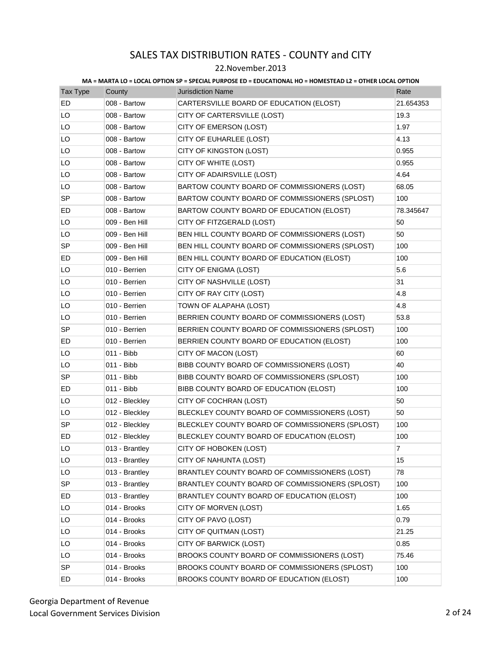### 22.November.2013

| Tax Type  | County         | <b>Jurisdiction Name</b>                        | Rate      |
|-----------|----------------|-------------------------------------------------|-----------|
| ED        | 008 - Bartow   | CARTERSVILLE BOARD OF EDUCATION (ELOST)         | 21.654353 |
| LO        | 008 - Bartow   | CITY OF CARTERSVILLE (LOST)                     | 19.3      |
| LO        | 008 - Bartow   | CITY OF EMERSON (LOST)                          | 1.97      |
| LO        | 008 - Bartow   | CITY OF EUHARLEE (LOST)                         | 4.13      |
| LO        | 008 - Bartow   | CITY OF KINGSTON (LOST)                         | 0.955     |
| LO        | 008 - Bartow   | CITY OF WHITE (LOST)                            | 0.955     |
| LO        | 008 - Bartow   | CITY OF ADAIRSVILLE (LOST)                      | 4.64      |
| LO        | 008 - Bartow   | BARTOW COUNTY BOARD OF COMMISSIONERS (LOST)     | 68.05     |
| <b>SP</b> | 008 - Bartow   | BARTOW COUNTY BOARD OF COMMISSIONERS (SPLOST)   | 100       |
| ED        | 008 - Bartow   | BARTOW COUNTY BOARD OF EDUCATION (ELOST)        | 78.345647 |
| LO        | 009 - Ben Hill | CITY OF FITZGERALD (LOST)                       | 50        |
| LO        | 009 - Ben Hill | BEN HILL COUNTY BOARD OF COMMISSIONERS (LOST)   | 50        |
| SP        | 009 - Ben Hill | BEN HILL COUNTY BOARD OF COMMISSIONERS (SPLOST) | 100       |
| ED        | 009 - Ben Hill | BEN HILL COUNTY BOARD OF EDUCATION (ELOST)      | 100       |
| LO        | 010 - Berrien  | CITY OF ENIGMA (LOST)                           | 5.6       |
| LO.       | 010 - Berrien  | CITY OF NASHVILLE (LOST)                        | 31        |
| LO        | 010 - Berrien  | CITY OF RAY CITY (LOST)                         | 4.8       |
| LO        | 010 - Berrien  | TOWN OF ALAPAHA (LOST)                          | 4.8       |
| LO        | 010 - Berrien  | BERRIEN COUNTY BOARD OF COMMISSIONERS (LOST)    | 53.8      |
| <b>SP</b> | 010 - Berrien  | BERRIEN COUNTY BOARD OF COMMISSIONERS (SPLOST)  | 100       |
| ED        | 010 - Berrien  | BERRIEN COUNTY BOARD OF EDUCATION (ELOST)       | 100       |
| LO        | 011 - Bibb     | CITY OF MACON (LOST)                            | 60        |
| LO.       | 011 - Bibb     | BIBB COUNTY BOARD OF COMMISSIONERS (LOST)       | 40        |
| SP        | 011 - Bibb     | BIBB COUNTY BOARD OF COMMISSIONERS (SPLOST)     | 100       |
| ED        | 011 - Bibb     | BIBB COUNTY BOARD OF EDUCATION (ELOST)          | 100       |
| LO        | 012 - Bleckley | CITY OF COCHRAN (LOST)                          | 50        |
| LO        | 012 - Bleckley | BLECKLEY COUNTY BOARD OF COMMISSIONERS (LOST)   | 50        |
| <b>SP</b> | 012 - Bleckley | BLECKLEY COUNTY BOARD OF COMMISSIONERS (SPLOST) | 100       |
| ED        | 012 - Bleckley | BLECKLEY COUNTY BOARD OF EDUCATION (ELOST)      | 100       |
| LO        | 013 - Brantley | CITY OF HOBOKEN (LOST)                          | 7         |
| LO        | 013 - Brantley | CITY OF NAHUNTA (LOST)                          | 15        |
| LO        | 013 - Brantley | BRANTLEY COUNTY BOARD OF COMMISSIONERS (LOST)   | 78        |
| <b>SP</b> | 013 - Brantley | BRANTLEY COUNTY BOARD OF COMMISSIONERS (SPLOST) | 100       |
| ED        | 013 - Brantley | BRANTLEY COUNTY BOARD OF EDUCATION (ELOST)      | 100       |
| LO        | 014 - Brooks   | CITY OF MORVEN (LOST)                           | 1.65      |
| LO        | 014 - Brooks   | CITY OF PAVO (LOST)                             | 0.79      |
| LO        | 014 - Brooks   | CITY OF QUITMAN (LOST)                          | 21.25     |
| LO        | 014 - Brooks   | CITY OF BARWICK (LOST)                          | 0.85      |
| LO        | 014 - Brooks   | BROOKS COUNTY BOARD OF COMMISSIONERS (LOST)     | 75.46     |
| <b>SP</b> | 014 - Brooks   | BROOKS COUNTY BOARD OF COMMISSIONERS (SPLOST)   | 100       |
| ED        | 014 - Brooks   | BROOKS COUNTY BOARD OF EDUCATION (ELOST)        | 100       |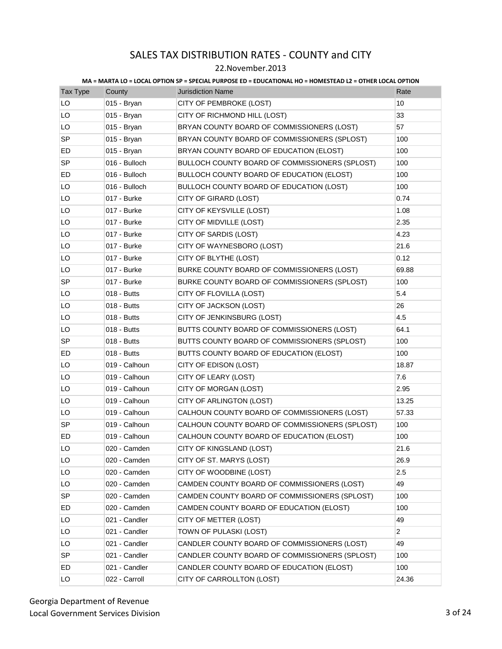### 22.November.2013

| <b>Tax Type</b> | County        | <b>Jurisdiction Name</b>                       | Rate           |
|-----------------|---------------|------------------------------------------------|----------------|
| LO              | 015 - Bryan   | CITY OF PEMBROKE (LOST)                        | 10             |
| LO              | 015 - Bryan   | CITY OF RICHMOND HILL (LOST)                   | 33             |
| LO              | 015 - Bryan   | BRYAN COUNTY BOARD OF COMMISSIONERS (LOST)     | 57             |
| <b>SP</b>       | 015 - Bryan   | BRYAN COUNTY BOARD OF COMMISSIONERS (SPLOST)   | 100            |
| ED              | 015 - Bryan   | BRYAN COUNTY BOARD OF EDUCATION (ELOST)        | 100            |
| <b>SP</b>       | 016 - Bulloch | BULLOCH COUNTY BOARD OF COMMISSIONERS (SPLOST) | 100            |
| ED              | 016 - Bulloch | BULLOCH COUNTY BOARD OF EDUCATION (ELOST)      | 100            |
| LO              | 016 - Bulloch | BULLOCH COUNTY BOARD OF EDUCATION (LOST)       | 100            |
| LO              | 017 - Burke   | CITY OF GIRARD (LOST)                          | 0.74           |
| LO              | 017 - Burke   | CITY OF KEYSVILLE (LOST)                       | 1.08           |
| LO              | 017 - Burke   | CITY OF MIDVILLE (LOST)                        | 2.35           |
| LO              | 017 - Burke   | CITY OF SARDIS (LOST)                          | 4.23           |
| LO              | 017 - Burke   | CITY OF WAYNESBORO (LOST)                      | 21.6           |
| LO              | 017 - Burke   | CITY OF BLYTHE (LOST)                          | 0.12           |
| LO              | 017 - Burke   | BURKE COUNTY BOARD OF COMMISSIONERS (LOST)     | 69.88          |
| SP              | 017 - Burke   | BURKE COUNTY BOARD OF COMMISSIONERS (SPLOST)   | 100            |
| LO              | 018 - Butts   | CITY OF FLOVILLA (LOST)                        | 5.4            |
| LO              | 018 - Butts   | CITY OF JACKSON (LOST)                         | 26             |
| LO              | 018 - Butts   | CITY OF JENKINSBURG (LOST)                     | 4.5            |
| LO              | 018 - Butts   | BUTTS COUNTY BOARD OF COMMISSIONERS (LOST)     | 64.1           |
| SP              | 018 - Butts   | BUTTS COUNTY BOARD OF COMMISSIONERS (SPLOST)   | 100            |
| ED              | 018 - Butts   | BUTTS COUNTY BOARD OF EDUCATION (ELOST)        | 100            |
| LO              | 019 - Calhoun | CITY OF EDISON (LOST)                          | 18.87          |
| LO              | 019 - Calhoun | CITY OF LEARY (LOST)                           | 7.6            |
| LO              | 019 - Calhoun | CITY OF MORGAN (LOST)                          | 2.95           |
| LO              | 019 - Calhoun | CITY OF ARLINGTON (LOST)                       | 13.25          |
| LO              | 019 - Calhoun | CALHOUN COUNTY BOARD OF COMMISSIONERS (LOST)   | 57.33          |
| SP              | 019 - Calhoun | CALHOUN COUNTY BOARD OF COMMISSIONERS (SPLOST) | 100            |
| ED              | 019 - Calhoun | CALHOUN COUNTY BOARD OF EDUCATION (ELOST)      | 100            |
| LO              | 020 - Camden  | CITY OF KINGSLAND (LOST)                       | 21.6           |
| LO              | 020 - Camden  | CITY OF ST. MARYS (LOST)                       | 26.9           |
| LO              | 020 - Camden  | CITY OF WOODBINE (LOST)                        | 2.5            |
| LO              | 020 - Camden  | CAMDEN COUNTY BOARD OF COMMISSIONERS (LOST)    | 49             |
| SP              | 020 - Camden  | CAMDEN COUNTY BOARD OF COMMISSIONERS (SPLOST)  | 100            |
| ED              | 020 - Camden  | CAMDEN COUNTY BOARD OF EDUCATION (ELOST)       | 100            |
| LO              | 021 - Candler | CITY OF METTER (LOST)                          | 49             |
| LO              | 021 - Candler | TOWN OF PULASKI (LOST)                         | $\overline{2}$ |
| LO              | 021 - Candler | CANDLER COUNTY BOARD OF COMMISSIONERS (LOST)   | 49             |
| <b>SP</b>       | 021 - Candler | CANDLER COUNTY BOARD OF COMMISSIONERS (SPLOST) | 100            |
| ED              | 021 - Candler | CANDLER COUNTY BOARD OF EDUCATION (ELOST)      | 100            |
| LO              | 022 - Carroll | CITY OF CARROLLTON (LOST)                      | 24.36          |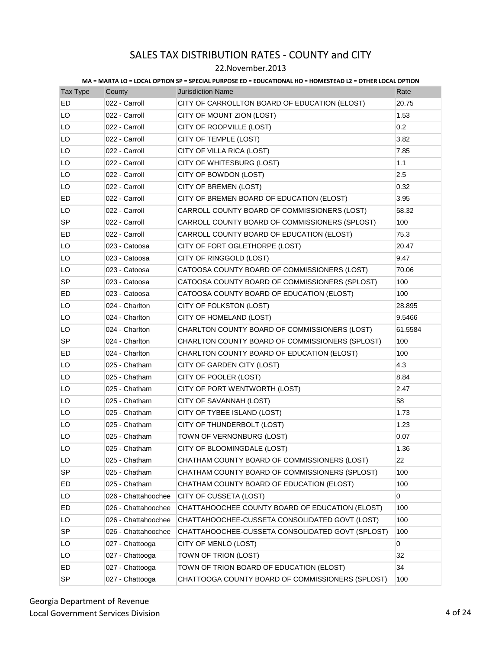### 22.November.2013

| Tax Type  | County              | <b>Jurisdiction Name</b>                         | Rate    |
|-----------|---------------------|--------------------------------------------------|---------|
| ED        | 022 - Carroll       | CITY OF CARROLLTON BOARD OF EDUCATION (ELOST)    | 20.75   |
| LO        | 022 - Carroll       | CITY OF MOUNT ZION (LOST)                        | 1.53    |
| LO        | 022 - Carroll       | CITY OF ROOPVILLE (LOST)                         | 0.2     |
| LO        | 022 - Carroll       | CITY OF TEMPLE (LOST)                            | 3.82    |
| LO        | 022 - Carroll       | CITY OF VILLA RICA (LOST)                        | 7.85    |
| LO        | 022 - Carroll       | CITY OF WHITESBURG (LOST)                        | 1.1     |
| LO        | 022 - Carroll       | CITY OF BOWDON (LOST)                            | 2.5     |
| LO        | 022 - Carroll       | CITY OF BREMEN (LOST)                            | 0.32    |
| ED        | 022 - Carroll       | CITY OF BREMEN BOARD OF EDUCATION (ELOST)        | 3.95    |
| LO        | 022 - Carroll       | CARROLL COUNTY BOARD OF COMMISSIONERS (LOST)     | 58.32   |
| SP        | 022 - Carroll       | CARROLL COUNTY BOARD OF COMMISSIONERS (SPLOST)   | 100     |
| ED        | 022 - Carroll       | CARROLL COUNTY BOARD OF EDUCATION (ELOST)        | 75.3    |
| LO        | 023 - Catoosa       | CITY OF FORT OGLETHORPE (LOST)                   | 20.47   |
| LO        | 023 - Catoosa       | CITY OF RINGGOLD (LOST)                          | 9.47    |
| LO        | 023 - Catoosa       | CATOOSA COUNTY BOARD OF COMMISSIONERS (LOST)     | 70.06   |
| <b>SP</b> | 023 - Catoosa       | CATOOSA COUNTY BOARD OF COMMISSIONERS (SPLOST)   | 100     |
| ED        | 023 - Catoosa       | CATOOSA COUNTY BOARD OF EDUCATION (ELOST)        | 100     |
| LO        | 024 - Charlton      | CITY OF FOLKSTON (LOST)                          | 28.895  |
| LO        | 024 - Charlton      | CITY OF HOMELAND (LOST)                          | 9.5466  |
| LO        | 024 - Charlton      | CHARLTON COUNTY BOARD OF COMMISSIONERS (LOST)    | 61.5584 |
| <b>SP</b> | 024 - Charlton      | CHARLTON COUNTY BOARD OF COMMISSIONERS (SPLOST)  | 100     |
| ED        | 024 - Charlton      | CHARLTON COUNTY BOARD OF EDUCATION (ELOST)       | 100     |
| LO        | 025 - Chatham       | CITY OF GARDEN CITY (LOST)                       | 4.3     |
| LO        | 025 - Chatham       | CITY OF POOLER (LOST)                            | 8.84    |
| LO        | 025 - Chatham       | CITY OF PORT WENTWORTH (LOST)                    | 2.47    |
| LO        | 025 - Chatham       | CITY OF SAVANNAH (LOST)                          | 58      |
| LO        | 025 - Chatham       | CITY OF TYBEE ISLAND (LOST)                      | 1.73    |
| LO        | 025 - Chatham       | CITY OF THUNDERBOLT (LOST)                       | 1.23    |
| LO        | 025 - Chatham       | TOWN OF VERNONBURG (LOST)                        | 0.07    |
| LO        | 025 - Chatham       | CITY OF BLOOMINGDALE (LOST)                      | 1.36    |
| LO        | 025 - Chatham       | CHATHAM COUNTY BOARD OF COMMISSIONERS (LOST)     | 22      |
| <b>SP</b> | 025 - Chatham       | CHATHAM COUNTY BOARD OF COMMISSIONERS (SPLOST)   | 100     |
| ED        | 025 - Chatham       | CHATHAM COUNTY BOARD OF EDUCATION (ELOST)        | 100     |
| LO        | 026 - Chattahoochee | CITY OF CUSSETA (LOST)                           | 0       |
| ED        | 026 - Chattahoochee | CHATTAHOOCHEE COUNTY BOARD OF EDUCATION (ELOST)  | 100     |
| LO        | 026 - Chattahoochee | CHATTAHOOCHEE-CUSSETA CONSOLIDATED GOVT (LOST)   | 100     |
| SP        | 026 - Chattahoochee | CHATTAHOOCHEE-CUSSETA CONSOLIDATED GOVT (SPLOST) | 100     |
| LO        | 027 - Chattooga     | CITY OF MENLO (LOST)                             | 0       |
| LO        | 027 - Chattooga     | TOWN OF TRION (LOST)                             | 32      |
| ED        | 027 - Chattooga     | TOWN OF TRION BOARD OF EDUCATION (ELOST)         | 34      |
| SP        | 027 - Chattooga     | CHATTOOGA COUNTY BOARD OF COMMISSIONERS (SPLOST) | 100     |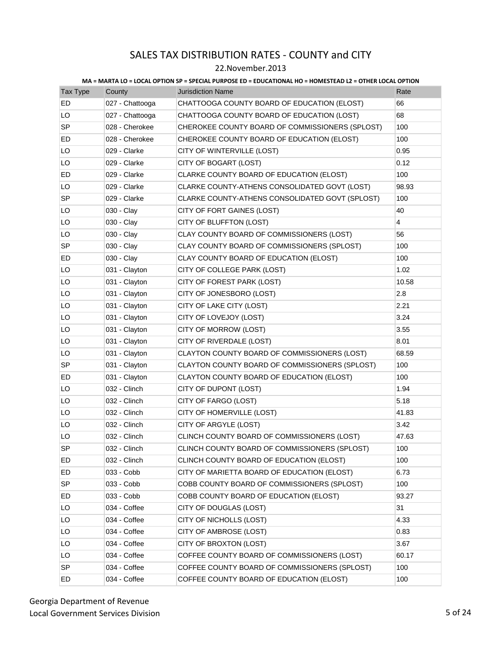### 22.November.2013

| Tax Type  | County          | <b>Jurisdiction Name</b>                        | Rate  |
|-----------|-----------------|-------------------------------------------------|-------|
| ED        | 027 - Chattooga | CHATTOOGA COUNTY BOARD OF EDUCATION (ELOST)     | 66    |
| LO        | 027 - Chattooga | CHATTOOGA COUNTY BOARD OF EDUCATION (LOST)      | 68    |
| SP        | 028 - Cherokee  | CHEROKEE COUNTY BOARD OF COMMISSIONERS (SPLOST) | 100   |
| ED        | 028 - Cherokee  | CHEROKEE COUNTY BOARD OF EDUCATION (ELOST)      | 100   |
| LO        | 029 - Clarke    | CITY OF WINTERVILLE (LOST)                      | 0.95  |
| LO        | 029 - Clarke    | CITY OF BOGART (LOST)                           | 0.12  |
| ED        | 029 - Clarke    | CLARKE COUNTY BOARD OF EDUCATION (ELOST)        | 100   |
| LO        | 029 - Clarke    | CLARKE COUNTY-ATHENS CONSOLIDATED GOVT (LOST)   | 98.93 |
| <b>SP</b> | 029 - Clarke    | CLARKE COUNTY-ATHENS CONSOLIDATED GOVT (SPLOST) | 100   |
| LO        | 030 - Clay      | CITY OF FORT GAINES (LOST)                      | 40    |
| LO        | 030 - Clay      | CITY OF BLUFFTON (LOST)                         | 4     |
| LO        | 030 - Clay      | CLAY COUNTY BOARD OF COMMISSIONERS (LOST)       | 56    |
| <b>SP</b> | 030 - Clay      | CLAY COUNTY BOARD OF COMMISSIONERS (SPLOST)     | 100   |
| ED        | 030 - Clay      | CLAY COUNTY BOARD OF EDUCATION (ELOST)          | 100   |
| LO        | 031 - Clayton   | CITY OF COLLEGE PARK (LOST)                     | 1.02  |
| LO        | 031 - Clayton   | CITY OF FOREST PARK (LOST)                      | 10.58 |
| LO        | 031 - Clayton   | CITY OF JONESBORO (LOST)                        | 2.8   |
| LO        | 031 - Clayton   | CITY OF LAKE CITY (LOST)                        | 2.21  |
| LO        | 031 - Clayton   | CITY OF LOVEJOY (LOST)                          | 3.24  |
| LO        | 031 - Clayton   | CITY OF MORROW (LOST)                           | 3.55  |
| LO        | 031 - Clayton   | CITY OF RIVERDALE (LOST)                        | 8.01  |
| LO        | 031 - Clayton   | CLAYTON COUNTY BOARD OF COMMISSIONERS (LOST)    | 68.59 |
| SP        | 031 - Clayton   | CLAYTON COUNTY BOARD OF COMMISSIONERS (SPLOST)  | 100   |
| ED        | 031 - Clayton   | CLAYTON COUNTY BOARD OF EDUCATION (ELOST)       | 100   |
| LO        | 032 - Clinch    | CITY OF DUPONT (LOST)                           | 1.94  |
| LO        | 032 - Clinch    | CITY OF FARGO (LOST)                            | 5.18  |
| LO        | 032 - Clinch    | CITY OF HOMERVILLE (LOST)                       | 41.83 |
| LO        | 032 - Clinch    | CITY OF ARGYLE (LOST)                           | 3.42  |
| LO        | 032 - Clinch    | CLINCH COUNTY BOARD OF COMMISSIONERS (LOST)     | 47.63 |
| SP        | 032 - Clinch    | CLINCH COUNTY BOARD OF COMMISSIONERS (SPLOST)   | 100   |
| ED        | 032 - Clinch    | CLINCH COUNTY BOARD OF EDUCATION (ELOST)        | 100   |
| ED        | 033 - Cobb      | CITY OF MARIETTA BOARD OF EDUCATION (ELOST)     | 6.73  |
| SP        | 033 - Cobb      | COBB COUNTY BOARD OF COMMISSIONERS (SPLOST)     | 100   |
| ED.       | 033 - Cobb      | COBB COUNTY BOARD OF EDUCATION (ELOST)          | 93.27 |
| LO.       | 034 - Coffee    | CITY OF DOUGLAS (LOST)                          | 31    |
| LO        | 034 - Coffee    | CITY OF NICHOLLS (LOST)                         | 4.33  |
| LO        | 034 - Coffee    | CITY OF AMBROSE (LOST)                          | 0.83  |
| LO        | 034 - Coffee    | CITY OF BROXTON (LOST)                          | 3.67  |
| LO        | 034 - Coffee    | COFFEE COUNTY BOARD OF COMMISSIONERS (LOST)     | 60.17 |
| SP        | 034 - Coffee    | COFFEE COUNTY BOARD OF COMMISSIONERS (SPLOST)   | 100   |
| ED        | 034 - Coffee    | COFFEE COUNTY BOARD OF EDUCATION (ELOST)        | 100   |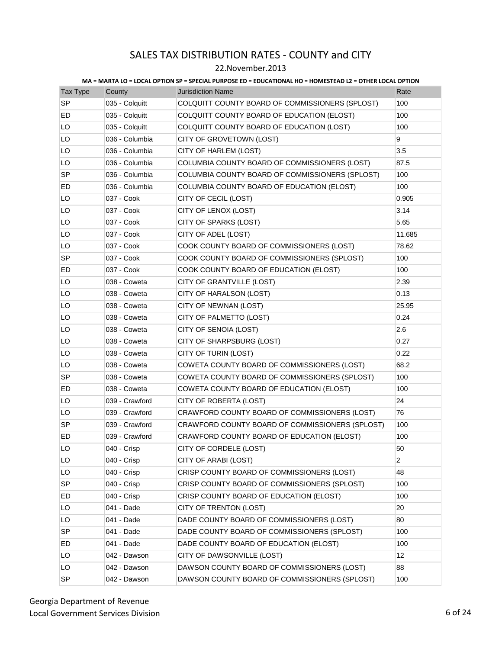### 22.November.2013

| Tax Type  | County         | <b>Jurisdiction Name</b>                        | Rate           |
|-----------|----------------|-------------------------------------------------|----------------|
| <b>SP</b> | 035 - Colquitt | COLQUITT COUNTY BOARD OF COMMISSIONERS (SPLOST) | 100            |
| ED        | 035 - Colquitt | COLQUITT COUNTY BOARD OF EDUCATION (ELOST)      | 100            |
| LO        | 035 - Colquitt | COLQUITT COUNTY BOARD OF EDUCATION (LOST)       | 100            |
| LO        | 036 - Columbia | CITY OF GROVETOWN (LOST)                        | 9              |
| LO        | 036 - Columbia | CITY OF HARLEM (LOST)                           | 3.5            |
| LO        | 036 - Columbia | COLUMBIA COUNTY BOARD OF COMMISSIONERS (LOST)   | 87.5           |
| <b>SP</b> | 036 - Columbia | COLUMBIA COUNTY BOARD OF COMMISSIONERS (SPLOST) | 100            |
| ED        | 036 - Columbia | COLUMBIA COUNTY BOARD OF EDUCATION (ELOST)      | 100            |
| LO        | 037 - Cook     | CITY OF CECIL (LOST)                            | 0.905          |
| LO        | 037 - Cook     | CITY OF LENOX (LOST)                            | 3.14           |
| LO        | 037 - Cook     | CITY OF SPARKS (LOST)                           | 5.65           |
| LO        | 037 - Cook     | CITY OF ADEL (LOST)                             | 11.685         |
| LO        | 037 - Cook     | COOK COUNTY BOARD OF COMMISSIONERS (LOST)       | 78.62          |
| <b>SP</b> | 037 - Cook     | COOK COUNTY BOARD OF COMMISSIONERS (SPLOST)     | 100            |
| ED        | 037 - Cook     | COOK COUNTY BOARD OF EDUCATION (ELOST)          | 100            |
| LO        | 038 - Coweta   | CITY OF GRANTVILLE (LOST)                       | 2.39           |
| LO        | 038 - Coweta   | CITY OF HARALSON (LOST)                         | 0.13           |
| LO        | 038 - Coweta   | CITY OF NEWNAN (LOST)                           | 25.95          |
| LO        | 038 - Coweta   | CITY OF PALMETTO (LOST)                         | 0.24           |
| LO        | 038 - Coweta   | CITY OF SENOIA (LOST)                           | 2.6            |
| LO        | 038 - Coweta   | CITY OF SHARPSBURG (LOST)                       | 0.27           |
| LO        | 038 - Coweta   | CITY OF TURIN (LOST)                            | 0.22           |
| LO        | 038 - Coweta   | COWETA COUNTY BOARD OF COMMISSIONERS (LOST)     | 68.2           |
| SP        | 038 - Coweta   | COWETA COUNTY BOARD OF COMMISSIONERS (SPLOST)   | 100            |
| ED        | 038 - Coweta   | COWETA COUNTY BOARD OF EDUCATION (ELOST)        | 100            |
| LO        | 039 - Crawford | CITY OF ROBERTA (LOST)                          | 24             |
| LO        | 039 - Crawford | CRAWFORD COUNTY BOARD OF COMMISSIONERS (LOST)   | 76             |
| <b>SP</b> | 039 - Crawford | CRAWFORD COUNTY BOARD OF COMMISSIONERS (SPLOST) | 100            |
| ED        | 039 - Crawford | CRAWFORD COUNTY BOARD OF EDUCATION (ELOST)      | 100            |
| LO        | 040 - Crisp    | CITY OF CORDELE (LOST)                          | 50             |
| LO        | 040 - Crisp    | CITY OF ARABI (LOST)                            | $\overline{2}$ |
| LO        | 040 - Crisp    | CRISP COUNTY BOARD OF COMMISSIONERS (LOST)      | 48             |
| <b>SP</b> | 040 - Crisp    | CRISP COUNTY BOARD OF COMMISSIONERS (SPLOST)    | 100            |
| ED        | 040 - Crisp    | CRISP COUNTY BOARD OF EDUCATION (ELOST)         | 100            |
| LO        | 041 - Dade     | CITY OF TRENTON (LOST)                          | 20             |
| LO        | 041 - Dade     | DADE COUNTY BOARD OF COMMISSIONERS (LOST)       | 80             |
| SP        | 041 - Dade     | DADE COUNTY BOARD OF COMMISSIONERS (SPLOST)     | 100            |
| ED        | 041 - Dade     | DADE COUNTY BOARD OF EDUCATION (ELOST)          | 100            |
| LO        | 042 - Dawson   | CITY OF DAWSONVILLE (LOST)                      | 12             |
| LO        | 042 - Dawson   | DAWSON COUNTY BOARD OF COMMISSIONERS (LOST)     | 88             |
| SP        | 042 - Dawson   | DAWSON COUNTY BOARD OF COMMISSIONERS (SPLOST)   | 100            |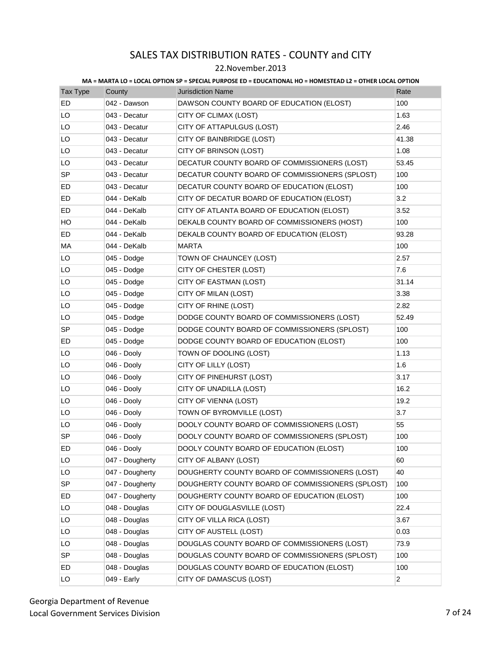### 22.November.2013

| Tax Type  | County          | <b>Jurisdiction Name</b>                         | Rate           |
|-----------|-----------------|--------------------------------------------------|----------------|
| ED        | 042 - Dawson    | DAWSON COUNTY BOARD OF EDUCATION (ELOST)         | 100            |
| LO        | 043 - Decatur   | CITY OF CLIMAX (LOST)                            | 1.63           |
| LO        | 043 - Decatur   | CITY OF ATTAPULGUS (LOST)                        | 2.46           |
| LO        | 043 - Decatur   | CITY OF BAINBRIDGE (LOST)                        | 41.38          |
| LO        | 043 - Decatur   | CITY OF BRINSON (LOST)                           | 1.08           |
| LO        | 043 - Decatur   | DECATUR COUNTY BOARD OF COMMISSIONERS (LOST)     | 53.45          |
| SP        | 043 - Decatur   | DECATUR COUNTY BOARD OF COMMISSIONERS (SPLOST)   | 100            |
| ED        | 043 - Decatur   | DECATUR COUNTY BOARD OF EDUCATION (ELOST)        | 100            |
| ED        | 044 - DeKalb    | CITY OF DECATUR BOARD OF EDUCATION (ELOST)       | 3.2            |
| ED        | 044 - DeKalb    | CITY OF ATLANTA BOARD OF EDUCATION (ELOST)       | 3.52           |
| HO        | 044 - DeKalb    | DEKALB COUNTY BOARD OF COMMISSIONERS (HOST)      | 100            |
| ED        | 044 - DeKalb    | DEKALB COUNTY BOARD OF EDUCATION (ELOST)         | 93.28          |
| MA        | 044 - DeKalb    | <b>MARTA</b>                                     | 100            |
| LO        | 045 - Dodge     | TOWN OF CHAUNCEY (LOST)                          | 2.57           |
| LO        | 045 - Dodge     | CITY OF CHESTER (LOST)                           | 7.6            |
| LO        | 045 - Dodge     | CITY OF EASTMAN (LOST)                           | 31.14          |
| LO        | 045 - Dodge     | CITY OF MILAN (LOST)                             | 3.38           |
| LO        | 045 - Dodge     | CITY OF RHINE (LOST)                             | 2.82           |
| LO        | 045 - Dodge     | DODGE COUNTY BOARD OF COMMISSIONERS (LOST)       | 52.49          |
| SP        | 045 - Dodge     | DODGE COUNTY BOARD OF COMMISSIONERS (SPLOST)     | 100            |
| ED        | 045 - Dodge     | DODGE COUNTY BOARD OF EDUCATION (ELOST)          | 100            |
| LO        | 046 - Dooly     | TOWN OF DOOLING (LOST)                           | 1.13           |
| LO        | 046 - Dooly     | CITY OF LILLY (LOST)                             | 1.6            |
| LO        | 046 - Dooly     | CITY OF PINEHURST (LOST)                         | 3.17           |
| LO        | 046 - Dooly     | CITY OF UNADILLA (LOST)                          | 16.2           |
| LO        | 046 - Dooly     | CITY OF VIENNA (LOST)                            | 19.2           |
| LO        | 046 - Dooly     | TOWN OF BYROMVILLE (LOST)                        | 3.7            |
| LO        | 046 - Dooly     | DOOLY COUNTY BOARD OF COMMISSIONERS (LOST)       | 55             |
| SP        | 046 - Dooly     | DOOLY COUNTY BOARD OF COMMISSIONERS (SPLOST)     | 100            |
| ED        | 046 - Dooly     | DOOLY COUNTY BOARD OF EDUCATION (ELOST)          | 100            |
| LO        | 047 - Dougherty | CITY OF ALBANY (LOST)                            | 60             |
| LO        | 047 - Dougherty | DOUGHERTY COUNTY BOARD OF COMMISSIONERS (LOST)   | 40             |
| <b>SP</b> | 047 - Dougherty | DOUGHERTY COUNTY BOARD OF COMMISSIONERS (SPLOST) | 100            |
| ED        | 047 - Dougherty | DOUGHERTY COUNTY BOARD OF EDUCATION (ELOST)      | 100            |
| LO        | 048 - Douglas   | CITY OF DOUGLASVILLE (LOST)                      | 22.4           |
| LO        | 048 - Douglas   | CITY OF VILLA RICA (LOST)                        | 3.67           |
| LO        | 048 - Douglas   | CITY OF AUSTELL (LOST)                           | 0.03           |
| LO        | 048 - Douglas   | DOUGLAS COUNTY BOARD OF COMMISSIONERS (LOST)     | 73.9           |
| <b>SP</b> | 048 - Douglas   | DOUGLAS COUNTY BOARD OF COMMISSIONERS (SPLOST)   | 100            |
| ED        | 048 - Douglas   | DOUGLAS COUNTY BOARD OF EDUCATION (ELOST)        | 100            |
| LO        | 049 - Early     | CITY OF DAMASCUS (LOST)                          | $\overline{c}$ |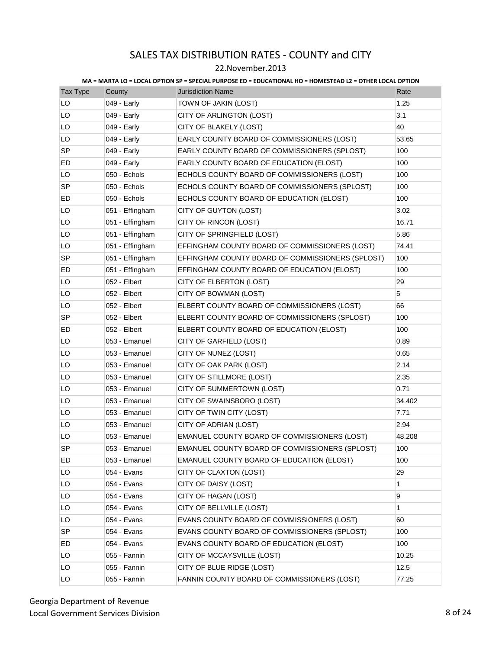### 22.November.2013

| <b>Tax Type</b> | County          | <b>Jurisdiction Name</b>                         | Rate   |
|-----------------|-----------------|--------------------------------------------------|--------|
| LO              | 049 - Early     | TOWN OF JAKIN (LOST)                             | 1.25   |
| LO              | 049 - Early     | CITY OF ARLINGTON (LOST)                         | 3.1    |
| LO              | 049 - Early     | CITY OF BLAKELY (LOST)                           | 40     |
| LO              | 049 - Early     | EARLY COUNTY BOARD OF COMMISSIONERS (LOST)       | 53.65  |
| <b>SP</b>       | 049 - Early     | EARLY COUNTY BOARD OF COMMISSIONERS (SPLOST)     | 100    |
| ED              | 049 - Early     | EARLY COUNTY BOARD OF EDUCATION (ELOST)          | 100    |
| LO              | 050 - Echols    | ECHOLS COUNTY BOARD OF COMMISSIONERS (LOST)      | 100    |
| SP              | 050 - Echols    | ECHOLS COUNTY BOARD OF COMMISSIONERS (SPLOST)    | 100    |
| ED              | 050 - Echols    | ECHOLS COUNTY BOARD OF EDUCATION (ELOST)         | 100    |
| LO              | 051 - Effingham | CITY OF GUYTON (LOST)                            | 3.02   |
| LO              | 051 - Effingham | CITY OF RINCON (LOST)                            | 16.71  |
| LO              | 051 - Effingham | CITY OF SPRINGFIELD (LOST)                       | 5.86   |
| LO              | 051 - Effingham | EFFINGHAM COUNTY BOARD OF COMMISSIONERS (LOST)   | 74.41  |
| SP              | 051 - Effingham | EFFINGHAM COUNTY BOARD OF COMMISSIONERS (SPLOST) | 100    |
| ED              | 051 - Effingham | EFFINGHAM COUNTY BOARD OF EDUCATION (ELOST)      | 100    |
| LO              | 052 - Elbert    | CITY OF ELBERTON (LOST)                          | 29     |
| LO              | 052 - Elbert    | CITY OF BOWMAN (LOST)                            | 5      |
| LO              | 052 - Elbert    | ELBERT COUNTY BOARD OF COMMISSIONERS (LOST)      | 66     |
| SP              | 052 - Elbert    | ELBERT COUNTY BOARD OF COMMISSIONERS (SPLOST)    | 100    |
| ED              | 052 - Elbert    | ELBERT COUNTY BOARD OF EDUCATION (ELOST)         | 100    |
| LO              | 053 - Emanuel   | CITY OF GARFIELD (LOST)                          | 0.89   |
| LO              | 053 - Emanuel   | CITY OF NUNEZ (LOST)                             | 0.65   |
| LO              | 053 - Emanuel   | CITY OF OAK PARK (LOST)                          | 2.14   |
| LO              | 053 - Emanuel   | CITY OF STILLMORE (LOST)                         | 2.35   |
| LO              | 053 - Emanuel   | CITY OF SUMMERTOWN (LOST)                        | 0.71   |
| LO              | 053 - Emanuel   | CITY OF SWAINSBORO (LOST)                        | 34.402 |
| LO              | 053 - Emanuel   | CITY OF TWIN CITY (LOST)                         | 7.71   |
| LO              | 053 - Emanuel   | CITY OF ADRIAN (LOST)                            | 2.94   |
| LO              | 053 - Emanuel   | EMANUEL COUNTY BOARD OF COMMISSIONERS (LOST)     | 48.208 |
| SP              | 053 - Emanuel   | EMANUEL COUNTY BOARD OF COMMISSIONERS (SPLOST)   | 100    |
| ED              | 053 - Emanuel   | EMANUEL COUNTY BOARD OF EDUCATION (ELOST)        | 100    |
| LO              | 054 - Evans     | CITY OF CLAXTON (LOST)                           | 29     |
| LO              | 054 - Evans     | CITY OF DAISY (LOST)                             | 1      |
| LO              | 054 - Evans     | CITY OF HAGAN (LOST)                             | 9      |
| LO              | 054 - Evans     | CITY OF BELLVILLE (LOST)                         | 1      |
| LO              | 054 - Evans     | EVANS COUNTY BOARD OF COMMISSIONERS (LOST)       | 60     |
| SP              | 054 - Evans     | EVANS COUNTY BOARD OF COMMISSIONERS (SPLOST)     | 100    |
| ED              | 054 - Evans     | EVANS COUNTY BOARD OF EDUCATION (ELOST)          | 100    |
| LO              | 055 - Fannin    | CITY OF MCCAYSVILLE (LOST)                       | 10.25  |
| LO              | 055 - Fannin    | CITY OF BLUE RIDGE (LOST)                        | 12.5   |
| LO              | 055 - Fannin    | FANNIN COUNTY BOARD OF COMMISSIONERS (LOST)      | 77.25  |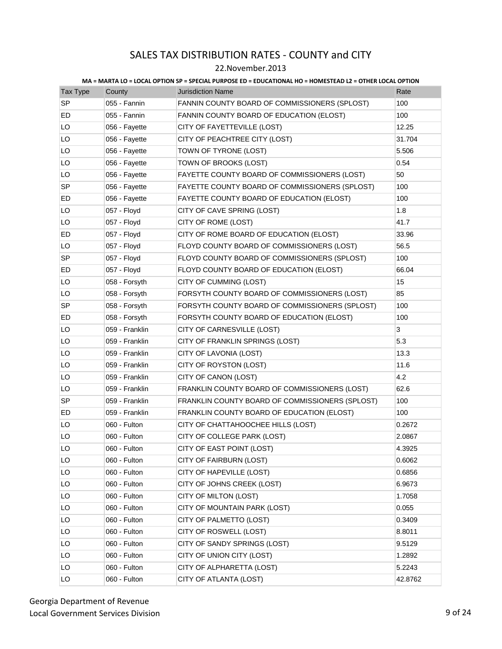### 22.November.2013

| Tax Type  | County         | <b>Jurisdiction Name</b>                        | Rate    |
|-----------|----------------|-------------------------------------------------|---------|
| <b>SP</b> | 055 - Fannin   | FANNIN COUNTY BOARD OF COMMISSIONERS (SPLOST)   | 100     |
| ED        | 055 - Fannin   | FANNIN COUNTY BOARD OF EDUCATION (ELOST)        | 100     |
| LO        | 056 - Fayette  | CITY OF FAYETTEVILLE (LOST)                     | 12.25   |
| LO        | 056 - Fayette  | CITY OF PEACHTREE CITY (LOST)                   | 31.704  |
| LO        | 056 - Fayette  | TOWN OF TYRONE (LOST)                           | 5.506   |
| LO        | 056 - Fayette  | TOWN OF BROOKS (LOST)                           | 0.54    |
| LO        | 056 - Fayette  | FAYETTE COUNTY BOARD OF COMMISSIONERS (LOST)    | 50      |
| SP        | 056 - Fayette  | FAYETTE COUNTY BOARD OF COMMISSIONERS (SPLOST)  | 100     |
| ED        | 056 - Fayette  | FAYETTE COUNTY BOARD OF EDUCATION (ELOST)       | 100     |
| LO        | 057 - Floyd    | CITY OF CAVE SPRING (LOST)                      | 1.8     |
| LO        | 057 - Floyd    | CITY OF ROME (LOST)                             | 41.7    |
| ED        | 057 - Floyd    | CITY OF ROME BOARD OF EDUCATION (ELOST)         | 33.96   |
| LO        | 057 - Floyd    | FLOYD COUNTY BOARD OF COMMISSIONERS (LOST)      | 56.5    |
| <b>SP</b> | 057 - Floyd    | FLOYD COUNTY BOARD OF COMMISSIONERS (SPLOST)    | 100     |
| ED        | 057 - Floyd    | FLOYD COUNTY BOARD OF EDUCATION (ELOST)         | 66.04   |
| LO        | 058 - Forsyth  | CITY OF CUMMING (LOST)                          | 15      |
| LO        | 058 - Forsyth  | FORSYTH COUNTY BOARD OF COMMISSIONERS (LOST)    | 85      |
| SP        | 058 - Forsyth  | FORSYTH COUNTY BOARD OF COMMISSIONERS (SPLOST)  | 100     |
| ED        | 058 - Forsyth  | FORSYTH COUNTY BOARD OF EDUCATION (ELOST)       | 100     |
| LO        | 059 - Franklin | CITY OF CARNESVILLE (LOST)                      | 3       |
| LO        | 059 - Franklin | CITY OF FRANKLIN SPRINGS (LOST)                 | 5.3     |
| LO        | 059 - Franklin | CITY OF LAVONIA (LOST)                          | 13.3    |
| LO        | 059 - Franklin | CITY OF ROYSTON (LOST)                          | 11.6    |
| LO        | 059 - Franklin | CITY OF CANON (LOST)                            | 4.2     |
| LO        | 059 - Franklin | FRANKLIN COUNTY BOARD OF COMMISSIONERS (LOST)   | 62.6    |
| SP        | 059 - Franklin | FRANKLIN COUNTY BOARD OF COMMISSIONERS (SPLOST) | 100     |
| ED        | 059 - Franklin | FRANKLIN COUNTY BOARD OF EDUCATION (ELOST)      | 100     |
| LO        | 060 - Fulton   | CITY OF CHATTAHOOCHEE HILLS (LOST)              | 0.2672  |
| LO        | 060 - Fulton   | CITY OF COLLEGE PARK (LOST)                     | 2.0867  |
| LO        | 060 - Fulton   | CITY OF EAST POINT (LOST)                       | 4.3925  |
| LO        | 060 - Fulton   | CITY OF FAIRBURN (LOST)                         | 0.6062  |
| LO        | 060 - Fulton   | CITY OF HAPEVILLE (LOST)                        | 0.6856  |
| LO        | 060 - Fulton   | CITY OF JOHNS CREEK (LOST)                      | 6.9673  |
| LO        | 060 - Fulton   | CITY OF MILTON (LOST)                           | 1.7058  |
| LO        | 060 - Fulton   | CITY OF MOUNTAIN PARK (LOST)                    | 0.055   |
| LO        | 060 - Fulton   | CITY OF PALMETTO (LOST)                         | 0.3409  |
| LO        | 060 - Fulton   | CITY OF ROSWELL (LOST)                          | 8.8011  |
| LO        | 060 - Fulton   | CITY OF SANDY SPRINGS (LOST)                    | 9.5129  |
| LO        | 060 - Fulton   | CITY OF UNION CITY (LOST)                       | 1.2892  |
| LO        | 060 - Fulton   | CITY OF ALPHARETTA (LOST)                       | 5.2243  |
| LO        | 060 - Fulton   | CITY OF ATLANTA (LOST)                          | 42.8762 |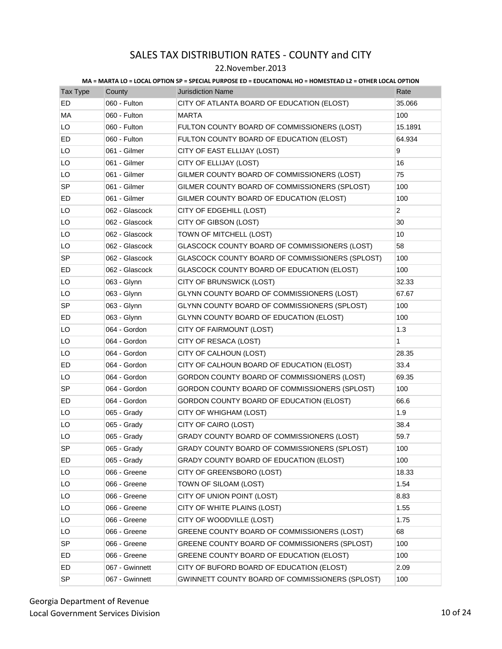### 22.November.2013

| Tax Type  | County         | <b>Jurisdiction Name</b>                        | Rate           |
|-----------|----------------|-------------------------------------------------|----------------|
| ED        | 060 - Fulton   | CITY OF ATLANTA BOARD OF EDUCATION (ELOST)      | 35.066         |
| MA        | 060 - Fulton   | <b>MARTA</b>                                    | 100            |
| LO        | 060 - Fulton   | FULTON COUNTY BOARD OF COMMISSIONERS (LOST)     | 15.1891        |
| ED        | 060 - Fulton   | FULTON COUNTY BOARD OF EDUCATION (ELOST)        | 64.934         |
| LO        | 061 - Gilmer   | CITY OF EAST ELLIJAY (LOST)                     | 9              |
| LO        | 061 - Gilmer   | CITY OF ELLIJAY (LOST)                          | 16             |
| LO        | 061 - Gilmer   | GILMER COUNTY BOARD OF COMMISSIONERS (LOST)     | 75             |
| <b>SP</b> | 061 - Gilmer   | GILMER COUNTY BOARD OF COMMISSIONERS (SPLOST)   | 100            |
| ED        | 061 - Gilmer   | GILMER COUNTY BOARD OF EDUCATION (ELOST)        | 100            |
| LO        | 062 - Glascock | CITY OF EDGEHILL (LOST)                         | $\overline{2}$ |
| LO        | 062 - Glascock | CITY OF GIBSON (LOST)                           | 30             |
| LO        | 062 - Glascock | TOWN OF MITCHELL (LOST)                         | 10             |
| LO        | 062 - Glascock | GLASCOCK COUNTY BOARD OF COMMISSIONERS (LOST)   | 58             |
| <b>SP</b> | 062 - Glascock | GLASCOCK COUNTY BOARD OF COMMISSIONERS (SPLOST) | 100            |
| ED        | 062 - Glascock | GLASCOCK COUNTY BOARD OF EDUCATION (ELOST)      | 100            |
| LO        | 063 - Glynn    | CITY OF BRUNSWICK (LOST)                        | 32.33          |
| LO        | 063 - Glynn    | GLYNN COUNTY BOARD OF COMMISSIONERS (LOST)      | 67.67          |
| <b>SP</b> | 063 - Glynn    | GLYNN COUNTY BOARD OF COMMISSIONERS (SPLOST)    | 100            |
| ED        | 063 - Glynn    | GLYNN COUNTY BOARD OF EDUCATION (ELOST)         | 100            |
| LO        | 064 - Gordon   | CITY OF FAIRMOUNT (LOST)                        | 1.3            |
| LO        | 064 - Gordon   | CITY OF RESACA (LOST)                           | $\mathbf{1}$   |
| LO        | 064 - Gordon   | CITY OF CALHOUN (LOST)                          | 28.35          |
| ED        | 064 - Gordon   | CITY OF CALHOUN BOARD OF EDUCATION (ELOST)      | 33.4           |
| LO        | 064 - Gordon   | GORDON COUNTY BOARD OF COMMISSIONERS (LOST)     | 69.35          |
| <b>SP</b> | 064 - Gordon   | GORDON COUNTY BOARD OF COMMISSIONERS (SPLOST)   | 100            |
| ED        | 064 - Gordon   | GORDON COUNTY BOARD OF EDUCATION (ELOST)        | 66.6           |
| LO        | 065 - Grady    | CITY OF WHIGHAM (LOST)                          | 1.9            |
| LO        | 065 - Grady    | CITY OF CAIRO (LOST)                            | 38.4           |
| LO        | 065 - Grady    | GRADY COUNTY BOARD OF COMMISSIONERS (LOST)      | 59.7           |
| <b>SP</b> | 065 - Grady    | GRADY COUNTY BOARD OF COMMISSIONERS (SPLOST)    | 100            |
| ED        | 065 - Grady    | GRADY COUNTY BOARD OF EDUCATION (ELOST)         | 100            |
| LO        | 066 - Greene   | CITY OF GREENSBORO (LOST)                       | 18.33          |
| LO        | 066 - Greene   | TOWN OF SILOAM (LOST)                           | 1.54           |
| LO        | 066 - Greene   | CITY OF UNION POINT (LOST)                      | 8.83           |
| LO        | 066 - Greene   | CITY OF WHITE PLAINS (LOST)                     | 1.55           |
| LO        | 066 - Greene   | CITY OF WOODVILLE (LOST)                        | 1.75           |
| LO        | 066 - Greene   | GREENE COUNTY BOARD OF COMMISSIONERS (LOST)     | 68             |
| SP        | 066 - Greene   | GREENE COUNTY BOARD OF COMMISSIONERS (SPLOST)   | 100            |
| ED        | 066 - Greene   | GREENE COUNTY BOARD OF EDUCATION (ELOST)        | 100            |
| ED        | 067 - Gwinnett | CITY OF BUFORD BOARD OF EDUCATION (ELOST)       | 2.09           |
| SP        | 067 - Gwinnett | GWINNETT COUNTY BOARD OF COMMISSIONERS (SPLOST) | 100            |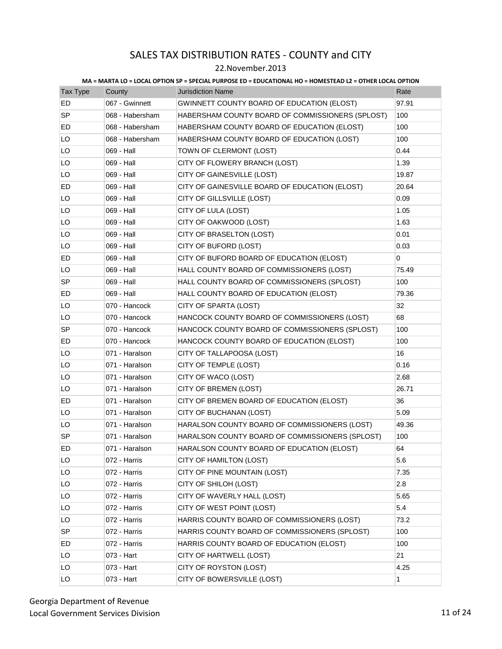### 22.November.2013

| <b>Tax Type</b> | County          | <b>Jurisdiction Name</b>                         | Rate  |
|-----------------|-----------------|--------------------------------------------------|-------|
| <b>ED</b>       | 067 - Gwinnett  | GWINNETT COUNTY BOARD OF EDUCATION (ELOST)       | 97.91 |
| <b>SP</b>       | 068 - Habersham | HABERSHAM COUNTY BOARD OF COMMISSIONERS (SPLOST) | 100   |
| ED              | 068 - Habersham | HABERSHAM COUNTY BOARD OF EDUCATION (ELOST)      | 100   |
| LO              | 068 - Habersham | HABERSHAM COUNTY BOARD OF EDUCATION (LOST)       | 100   |
| LO              | 069 - Hall      | TOWN OF CLERMONT (LOST)                          | 0.44  |
| LO              | 069 - Hall      | CITY OF FLOWERY BRANCH (LOST)                    | 1.39  |
| LO              | 069 - Hall      | CITY OF GAINESVILLE (LOST)                       | 19.87 |
| ED              | 069 - Hall      | CITY OF GAINESVILLE BOARD OF EDUCATION (ELOST)   | 20.64 |
| LO              | 069 - Hall      | CITY OF GILLSVILLE (LOST)                        | 0.09  |
| LO              | 069 - Hall      | CITY OF LULA (LOST)                              | 1.05  |
| LO              | 069 - Hall      | CITY OF OAKWOOD (LOST)                           | 1.63  |
| LO              | 069 - Hall      | CITY OF BRASELTON (LOST)                         | 0.01  |
| LO              | 069 - Hall      | CITY OF BUFORD (LOST)                            | 0.03  |
| ED              | 069 - Hall      | CITY OF BUFORD BOARD OF EDUCATION (ELOST)        | 0     |
| LO              | 069 - Hall      | HALL COUNTY BOARD OF COMMISSIONERS (LOST)        | 75.49 |
| <b>SP</b>       | 069 - Hall      | HALL COUNTY BOARD OF COMMISSIONERS (SPLOST)      | 100   |
| ED              | 069 - Hall      | HALL COUNTY BOARD OF EDUCATION (ELOST)           | 79.36 |
| LO              | 070 - Hancock   | CITY OF SPARTA (LOST)                            | 32    |
| LO              | 070 - Hancock   | HANCOCK COUNTY BOARD OF COMMISSIONERS (LOST)     | 68    |
| SP              | 070 - Hancock   | HANCOCK COUNTY BOARD OF COMMISSIONERS (SPLOST)   | 100   |
| ED              | 070 - Hancock   | HANCOCK COUNTY BOARD OF EDUCATION (ELOST)        | 100   |
| LO              | 071 - Haralson  | CITY OF TALLAPOOSA (LOST)                        | 16    |
| LO              | 071 - Haralson  | CITY OF TEMPLE (LOST)                            | 0.16  |
| LO              | 071 - Haralson  | CITY OF WACO (LOST)                              | 2.68  |
| LO              | 071 - Haralson  | CITY OF BREMEN (LOST)                            | 26.71 |
| ED              | 071 - Haralson  | CITY OF BREMEN BOARD OF EDUCATION (ELOST)        | 36    |
| LO              | 071 - Haralson  | CITY OF BUCHANAN (LOST)                          | 5.09  |
| LO              | 071 - Haralson  | HARALSON COUNTY BOARD OF COMMISSIONERS (LOST)    | 49.36 |
| <b>SP</b>       | 071 - Haralson  | HARALSON COUNTY BOARD OF COMMISSIONERS (SPLOST)  | 100   |
| ED              | 071 - Haralson  | HARALSON COUNTY BOARD OF EDUCATION (ELOST)       | 64    |
| LO              | 072 - Harris    | CITY OF HAMILTON (LOST)                          | 5.6   |
| LO              | 072 - Harris    | CITY OF PINE MOUNTAIN (LOST)                     | 7.35  |
| LO              | 072 - Harris    | CITY OF SHILOH (LOST)                            | 2.8   |
| LO              | 072 - Harris    | CITY OF WAVERLY HALL (LOST)                      | 5.65  |
| LO              | 072 - Harris    | CITY OF WEST POINT (LOST)                        | 5.4   |
| LO              | 072 - Harris    | HARRIS COUNTY BOARD OF COMMISSIONERS (LOST)      | 73.2  |
| <b>SP</b>       | 072 - Harris    | HARRIS COUNTY BOARD OF COMMISSIONERS (SPLOST)    | 100   |
| ED              | 072 - Harris    | HARRIS COUNTY BOARD OF EDUCATION (ELOST)         | 100   |
| LO              | 073 - Hart      | CITY OF HARTWELL (LOST)                          | 21    |
| LO              | 073 - Hart      | CITY OF ROYSTON (LOST)                           | 4.25  |
| LO              | 073 - Hart      | CITY OF BOWERSVILLE (LOST)                       | 1     |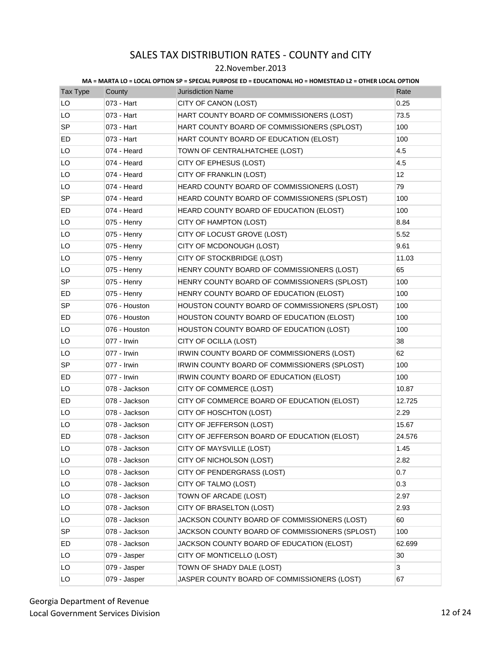### 22.November.2013

| <b>Tax Type</b> | County        | <b>Jurisdiction Name</b>                       | Rate   |
|-----------------|---------------|------------------------------------------------|--------|
| LO              | 073 - Hart    | CITY OF CANON (LOST)                           | 0.25   |
| LO              | 073 - Hart    | HART COUNTY BOARD OF COMMISSIONERS (LOST)      | 73.5   |
| <b>SP</b>       | 073 - Hart    | HART COUNTY BOARD OF COMMISSIONERS (SPLOST)    | 100    |
| ED              | 073 - Hart    | HART COUNTY BOARD OF EDUCATION (ELOST)         | 100    |
| LO              | 074 - Heard   | TOWN OF CENTRALHATCHEE (LOST)                  | 4.5    |
| LO              | 074 - Heard   | CITY OF EPHESUS (LOST)                         | 4.5    |
| LO              | 074 - Heard   | CITY OF FRANKLIN (LOST)                        | 12     |
| LO              | 074 - Heard   | HEARD COUNTY BOARD OF COMMISSIONERS (LOST)     | 79     |
| <b>SP</b>       | 074 - Heard   | HEARD COUNTY BOARD OF COMMISSIONERS (SPLOST)   | 100    |
| ED              | 074 - Heard   | HEARD COUNTY BOARD OF EDUCATION (ELOST)        | 100    |
| LO              | 075 - Henry   | CITY OF HAMPTON (LOST)                         | 8.84   |
| LO              | 075 - Henry   | CITY OF LOCUST GROVE (LOST)                    | 5.52   |
| LO              | 075 - Henry   | CITY OF MCDONOUGH (LOST)                       | 9.61   |
| LO              | 075 - Henry   | CITY OF STOCKBRIDGE (LOST)                     | 11.03  |
| LO              | 075 - Henry   | HENRY COUNTY BOARD OF COMMISSIONERS (LOST)     | 65     |
| SP              | 075 - Henry   | HENRY COUNTY BOARD OF COMMISSIONERS (SPLOST)   | 100    |
| ED              | 075 - Henry   | HENRY COUNTY BOARD OF EDUCATION (ELOST)        | 100    |
| <b>SP</b>       | 076 - Houston | HOUSTON COUNTY BOARD OF COMMISSIONERS (SPLOST) | 100    |
| ED              | 076 - Houston | HOUSTON COUNTY BOARD OF EDUCATION (ELOST)      | 100    |
| LO              | 076 - Houston | HOUSTON COUNTY BOARD OF EDUCATION (LOST)       | 100    |
| LO              | 077 - Irwin   | CITY OF OCILLA (LOST)                          | 38     |
| LO              | 077 - Irwin   | IRWIN COUNTY BOARD OF COMMISSIONERS (LOST)     | 62     |
| SP              | 077 - Irwin   | IRWIN COUNTY BOARD OF COMMISSIONERS (SPLOST)   | 100    |
| ED              | 077 - Irwin   | IRWIN COUNTY BOARD OF EDUCATION (ELOST)        | 100    |
| LO              | 078 - Jackson | CITY OF COMMERCE (LOST)                        | 10.87  |
| ED              | 078 - Jackson | CITY OF COMMERCE BOARD OF EDUCATION (ELOST)    | 12.725 |
| LO              | 078 - Jackson | CITY OF HOSCHTON (LOST)                        | 2.29   |
| LO              | 078 - Jackson | CITY OF JEFFERSON (LOST)                       | 15.67  |
| ED              | 078 - Jackson | CITY OF JEFFERSON BOARD OF EDUCATION (ELOST)   | 24.576 |
| LO              | 078 - Jackson | CITY OF MAYSVILLE (LOST)                       | 1.45   |
| LO              | 078 - Jackson | CITY OF NICHOLSON (LOST)                       | 2.82   |
| LO              | 078 - Jackson | CITY OF PENDERGRASS (LOST)                     | 0.7    |
| LO              | 078 - Jackson | CITY OF TALMO (LOST)                           | 0.3    |
| LO              | 078 - Jackson | TOWN OF ARCADE (LOST)                          | 2.97   |
| LO              | 078 - Jackson | CITY OF BRASELTON (LOST)                       | 2.93   |
| LO              | 078 - Jackson | JACKSON COUNTY BOARD OF COMMISSIONERS (LOST)   | 60     |
| SP              | 078 - Jackson | JACKSON COUNTY BOARD OF COMMISSIONERS (SPLOST) | 100    |
| ED              | 078 - Jackson | JACKSON COUNTY BOARD OF EDUCATION (ELOST)      | 62.699 |
| LO              | 079 - Jasper  | CITY OF MONTICELLO (LOST)                      | 30     |
| LO              | 079 - Jasper  | TOWN OF SHADY DALE (LOST)                      | 3      |
| LO              | 079 - Jasper  | JASPER COUNTY BOARD OF COMMISSIONERS (LOST)    | 67     |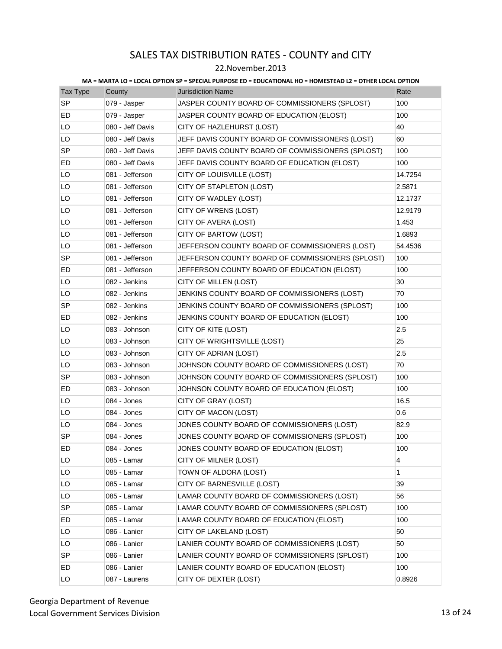### 22.November.2013

| <b>Tax Type</b> | County           | <b>Jurisdiction Name</b>                          | Rate    |
|-----------------|------------------|---------------------------------------------------|---------|
| <b>SP</b>       | 079 - Jasper     | JASPER COUNTY BOARD OF COMMISSIONERS (SPLOST)     | 100     |
| ED              | 079 - Jasper     | JASPER COUNTY BOARD OF EDUCATION (ELOST)          | 100     |
| LO              | 080 - Jeff Davis | CITY OF HAZLEHURST (LOST)                         | 40      |
| LO              | 080 - Jeff Davis | JEFF DAVIS COUNTY BOARD OF COMMISSIONERS (LOST)   | 60      |
| <b>SP</b>       | 080 - Jeff Davis | JEFF DAVIS COUNTY BOARD OF COMMISSIONERS (SPLOST) | 100     |
| ED              | 080 - Jeff Davis | JEFF DAVIS COUNTY BOARD OF EDUCATION (ELOST)      | 100     |
| LO              | 081 - Jefferson  | CITY OF LOUISVILLE (LOST)                         | 14.7254 |
| LO              | 081 - Jefferson  | CITY OF STAPLETON (LOST)                          | 2.5871  |
| LO              | 081 - Jefferson  | CITY OF WADLEY (LOST)                             | 12.1737 |
| LO              | 081 - Jefferson  | CITY OF WRENS (LOST)                              | 12.9179 |
| LO              | 081 - Jefferson  | CITY OF AVERA (LOST)                              | 1.453   |
| LO              | 081 - Jefferson  | CITY OF BARTOW (LOST)                             | 1.6893  |
| LO              | 081 - Jefferson  | JEFFERSON COUNTY BOARD OF COMMISSIONERS (LOST)    | 54.4536 |
| <b>SP</b>       | 081 - Jefferson  | JEFFERSON COUNTY BOARD OF COMMISSIONERS (SPLOST)  | 100     |
| ED              | 081 - Jefferson  | JEFFERSON COUNTY BOARD OF EDUCATION (ELOST)       | 100     |
| LO              | 082 - Jenkins    | CITY OF MILLEN (LOST)                             | 30      |
| LO              | 082 - Jenkins    | JENKINS COUNTY BOARD OF COMMISSIONERS (LOST)      | 70      |
| <b>SP</b>       | 082 - Jenkins    | JENKINS COUNTY BOARD OF COMMISSIONERS (SPLOST)    | 100     |
| ED              | 082 - Jenkins    | JENKINS COUNTY BOARD OF EDUCATION (ELOST)         | 100     |
| LO              | 083 - Johnson    | CITY OF KITE (LOST)                               | 2.5     |
| LO              | 083 - Johnson    | CITY OF WRIGHTSVILLE (LOST)                       | 25      |
| LO              | 083 - Johnson    | CITY OF ADRIAN (LOST)                             | 2.5     |
| LO              | 083 - Johnson    | JOHNSON COUNTY BOARD OF COMMISSIONERS (LOST)      | 70      |
| <b>SP</b>       | 083 - Johnson    | JOHNSON COUNTY BOARD OF COMMISSIONERS (SPLOST)    | 100     |
| ED              | 083 - Johnson    | JOHNSON COUNTY BOARD OF EDUCATION (ELOST)         | 100     |
| LO              | 084 - Jones      | CITY OF GRAY (LOST)                               | 16.5    |
| LO              | 084 - Jones      | CITY OF MACON (LOST)                              | 0.6     |
| LO              | 084 - Jones      | JONES COUNTY BOARD OF COMMISSIONERS (LOST)        | 82.9    |
| <b>SP</b>       | 084 - Jones      | JONES COUNTY BOARD OF COMMISSIONERS (SPLOST)      | 100     |
| ED              | 084 - Jones      | JONES COUNTY BOARD OF EDUCATION (ELOST)           | 100     |
| LO              | 085 - Lamar      | CITY OF MILNER (LOST)                             | 4       |
| LO              | 085 - Lamar      | TOWN OF ALDORA (LOST)                             | 1       |
| LO              | 085 - Lamar      | CITY OF BARNESVILLE (LOST)                        | 39      |
| LO              | 085 - Lamar      | LAMAR COUNTY BOARD OF COMMISSIONERS (LOST)        | 56      |
| <b>SP</b>       | 085 - Lamar      | LAMAR COUNTY BOARD OF COMMISSIONERS (SPLOST)      | 100     |
| ED              | 085 - Lamar      | LAMAR COUNTY BOARD OF EDUCATION (ELOST)           | 100     |
| LO              | 086 - Lanier     | CITY OF LAKELAND (LOST)                           | 50      |
| LO              | 086 - Lanier     | LANIER COUNTY BOARD OF COMMISSIONERS (LOST)       | 50      |
| <b>SP</b>       | 086 - Lanier     | LANIER COUNTY BOARD OF COMMISSIONERS (SPLOST)     | 100     |
| ED              | 086 - Lanier     | LANIER COUNTY BOARD OF EDUCATION (ELOST)          | 100     |
| LO              | 087 - Laurens    | CITY OF DEXTER (LOST)                             | 0.8926  |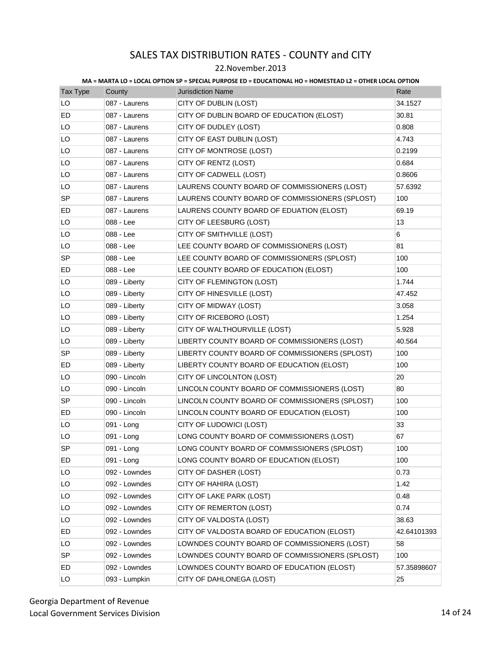### 22.November.2013

| Tax Type  | County        | <b>Jurisdiction Name</b>                       | Rate        |
|-----------|---------------|------------------------------------------------|-------------|
| LO        | 087 - Laurens | CITY OF DUBLIN (LOST)                          | 34.1527     |
| ED.       | 087 - Laurens | CITY OF DUBLIN BOARD OF EDUCATION (ELOST)      | 30.81       |
| LO        | 087 - Laurens | CITY OF DUDLEY (LOST)                          | 0.808       |
| LO        | 087 - Laurens | CITY OF EAST DUBLIN (LOST)                     | 4.743       |
| LO        | 087 - Laurens | CITY OF MONTROSE (LOST)                        | 0.2199      |
| LO        | 087 - Laurens | CITY OF RENTZ (LOST)                           | 0.684       |
| LO        | 087 - Laurens | CITY OF CADWELL (LOST)                         | 0.8606      |
| LO        | 087 - Laurens | LAURENS COUNTY BOARD OF COMMISSIONERS (LOST)   | 57.6392     |
| SP        | 087 - Laurens | LAURENS COUNTY BOARD OF COMMISSIONERS (SPLOST) | 100         |
| ED        | 087 - Laurens | LAURENS COUNTY BOARD OF EDUATION (ELOST)       | 69.19       |
| LO        | 088 - Lee     | CITY OF LEESBURG (LOST)                        | 13          |
| LO        | 088 - Lee     | CITY OF SMITHVILLE (LOST)                      | 6           |
| LO        | 088 - Lee     | LEE COUNTY BOARD OF COMMISSIONERS (LOST)       | 81          |
| <b>SP</b> | 088 - Lee     | LEE COUNTY BOARD OF COMMISSIONERS (SPLOST)     | 100         |
| ED        | 088 - Lee     | LEE COUNTY BOARD OF EDUCATION (ELOST)          | 100         |
| LO        | 089 - Liberty | CITY OF FLEMINGTON (LOST)                      | 1.744       |
| LO        | 089 - Liberty | CITY OF HINESVILLE (LOST)                      | 47.452      |
| LO        | 089 - Liberty | CITY OF MIDWAY (LOST)                          | 3.058       |
| LO        | 089 - Liberty | CITY OF RICEBORO (LOST)                        | 1.254       |
| LO        | 089 - Liberty | CITY OF WALTHOURVILLE (LOST)                   | 5.928       |
| LO        | 089 - Liberty | LIBERTY COUNTY BOARD OF COMMISSIONERS (LOST)   | 40.564      |
| <b>SP</b> | 089 - Liberty | LIBERTY COUNTY BOARD OF COMMISSIONERS (SPLOST) | 100         |
| ED        | 089 - Liberty | LIBERTY COUNTY BOARD OF EDUCATION (ELOST)      | 100         |
| LO        | 090 - Lincoln | CITY OF LINCOLNTON (LOST)                      | 20          |
| LO        | 090 - Lincoln | LINCOLN COUNTY BOARD OF COMMISSIONERS (LOST)   | 80          |
| SP        | 090 - Lincoln | LINCOLN COUNTY BOARD OF COMMISSIONERS (SPLOST) | 100         |
| ED        | 090 - Lincoln | LINCOLN COUNTY BOARD OF EDUCATION (ELOST)      | 100         |
| LO        | 091 - Long    | CITY OF LUDOWICI (LOST)                        | 33          |
| LO        | 091 - Long    | LONG COUNTY BOARD OF COMMISSIONERS (LOST)      | 67          |
| <b>SP</b> | 091 - Long    | LONG COUNTY BOARD OF COMMISSIONERS (SPLOST)    | 100         |
| ED        | 091 - Long    | LONG COUNTY BOARD OF EDUCATION (ELOST)         | 100         |
| LO        | 092 - Lowndes | CITY OF DASHER (LOST)                          | 0.73        |
| LO        | 092 - Lowndes | CITY OF HAHIRA (LOST)                          | 1.42        |
| LO        | 092 - Lowndes | CITY OF LAKE PARK (LOST)                       | 0.48        |
| LO        | 092 - Lowndes | CITY OF REMERTON (LOST)                        | 0.74        |
| LO        | 092 - Lowndes | CITY OF VALDOSTA (LOST)                        | 38.63       |
| ED        | 092 - Lowndes | CITY OF VALDOSTA BOARD OF EDUCATION (ELOST)    | 42.64101393 |
| LO        | 092 - Lowndes | LOWNDES COUNTY BOARD OF COMMISSIONERS (LOST)   | 58          |
| SP        | 092 - Lowndes | LOWNDES COUNTY BOARD OF COMMISSIONERS (SPLOST) | 100         |
| ED        | 092 - Lowndes | LOWNDES COUNTY BOARD OF EDUCATION (ELOST)      | 57.35898607 |
| LO        | 093 - Lumpkin | CITY OF DAHLONEGA (LOST)                       | 25          |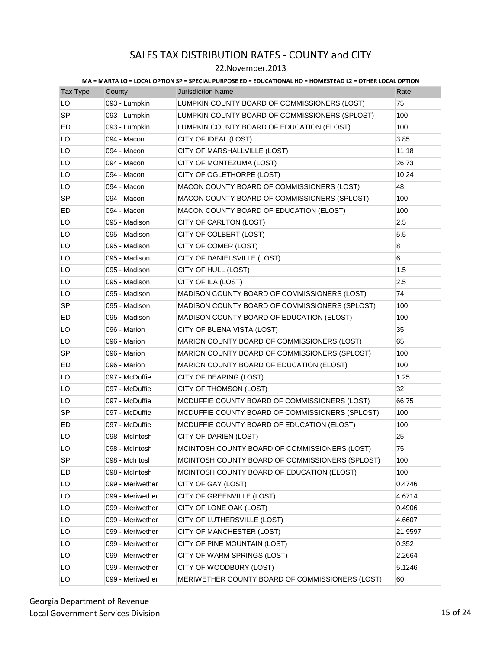### 22.November.2013

| <b>Tax Type</b> | County           | <b>Jurisdiction Name</b>                        | Rate    |
|-----------------|------------------|-------------------------------------------------|---------|
| LO              | 093 - Lumpkin    | LUMPKIN COUNTY BOARD OF COMMISSIONERS (LOST)    | 75      |
| <b>SP</b>       | 093 - Lumpkin    | LUMPKIN COUNTY BOARD OF COMMISSIONERS (SPLOST)  | 100     |
| ED              | 093 - Lumpkin    | LUMPKIN COUNTY BOARD OF EDUCATION (ELOST)       | 100     |
| LO              | 094 - Macon      | CITY OF IDEAL (LOST)                            | 3.85    |
| LO              | 094 - Macon      | CITY OF MARSHALLVILLE (LOST)                    | 11.18   |
| LO              | 094 - Macon      | CITY OF MONTEZUMA (LOST)                        | 26.73   |
| LO              | 094 - Macon      | CITY OF OGLETHORPE (LOST)                       | 10.24   |
| LO              | 094 - Macon      | MACON COUNTY BOARD OF COMMISSIONERS (LOST)      | 48      |
| <b>SP</b>       | 094 - Macon      | MACON COUNTY BOARD OF COMMISSIONERS (SPLOST)    | 100     |
| ED              | 094 - Macon      | MACON COUNTY BOARD OF EDUCATION (ELOST)         | 100     |
| LO              | 095 - Madison    | CITY OF CARLTON (LOST)                          | 2.5     |
| LO              | 095 - Madison    | CITY OF COLBERT (LOST)                          | 5.5     |
| LO              | 095 - Madison    | CITY OF COMER (LOST)                            | 8       |
| LO              | 095 - Madison    | CITY OF DANIELSVILLE (LOST)                     | 6       |
| LO              | 095 - Madison    | CITY OF HULL (LOST)                             | 1.5     |
| LO              | 095 - Madison    | CITY OF ILA (LOST)                              | 2.5     |
| LO              | 095 - Madison    | MADISON COUNTY BOARD OF COMMISSIONERS (LOST)    | 74      |
| <b>SP</b>       | 095 - Madison    | MADISON COUNTY BOARD OF COMMISSIONERS (SPLOST)  | 100     |
| ED              | 095 - Madison    | MADISON COUNTY BOARD OF EDUCATION (ELOST)       | 100     |
| LO              | 096 - Marion     | CITY OF BUENA VISTA (LOST)                      | 35      |
| LO              | 096 - Marion     | MARION COUNTY BOARD OF COMMISSIONERS (LOST)     | 65      |
| <b>SP</b>       | 096 - Marion     | MARION COUNTY BOARD OF COMMISSIONERS (SPLOST)   | 100     |
| ED              | 096 - Marion     | MARION COUNTY BOARD OF EDUCATION (ELOST)        | 100     |
| LO              | 097 - McDuffie   | CITY OF DEARING (LOST)                          | 1.25    |
| LO              | 097 - McDuffie   | CITY OF THOMSON (LOST)                          | 32      |
| LO              | 097 - McDuffie   | MCDUFFIE COUNTY BOARD OF COMMISSIONERS (LOST)   | 66.75   |
| <b>SP</b>       | 097 - McDuffie   | MCDUFFIE COUNTY BOARD OF COMMISSIONERS (SPLOST) | 100     |
| ED              | 097 - McDuffie   | MCDUFFIE COUNTY BOARD OF EDUCATION (ELOST)      | 100     |
| LO              | 098 - McIntosh   | CITY OF DARIEN (LOST)                           | 25      |
| LO              | 098 - McIntosh   | MCINTOSH COUNTY BOARD OF COMMISSIONERS (LOST)   | 75      |
| SP              | 098 - McIntosh   | MCINTOSH COUNTY BOARD OF COMMISSIONERS (SPLOST) | 100     |
| ED              | 098 - McIntosh   | MCINTOSH COUNTY BOARD OF EDUCATION (ELOST)      | 100     |
| LO              | 099 - Meriwether | CITY OF GAY (LOST)                              | 0.4746  |
| LO              | 099 - Meriwether | CITY OF GREENVILLE (LOST)                       | 4.6714  |
| LO              | 099 - Meriwether | CITY OF LONE OAK (LOST)                         | 0.4906  |
| LO              | 099 - Meriwether | CITY OF LUTHERSVILLE (LOST)                     | 4.6607  |
| LO              | 099 - Meriwether | CITY OF MANCHESTER (LOST)                       | 21.9597 |
| LO              | 099 - Meriwether | CITY OF PINE MOUNTAIN (LOST)                    | 0.352   |
| LO              | 099 - Meriwether | CITY OF WARM SPRINGS (LOST)                     | 2.2664  |
| LO              | 099 - Meriwether | CITY OF WOODBURY (LOST)                         | 5.1246  |
| LO              | 099 - Meriwether | MERIWETHER COUNTY BOARD OF COMMISSIONERS (LOST) | 60      |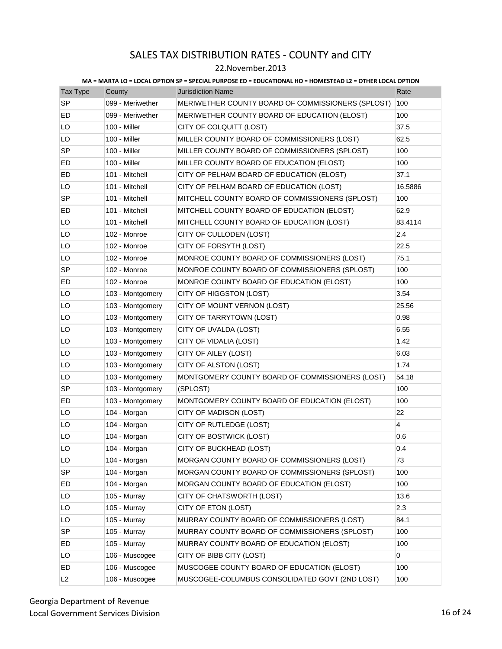### 22.November.2013

| Tax Type  | County           | <b>Jurisdiction Name</b>                          | Rate           |
|-----------|------------------|---------------------------------------------------|----------------|
| <b>SP</b> | 099 - Meriwether | MERIWETHER COUNTY BOARD OF COMMISSIONERS (SPLOST) | 100            |
| ED        | 099 - Meriwether | MERIWETHER COUNTY BOARD OF EDUCATION (ELOST)      | 100            |
| LO        | 100 - Miller     | CITY OF COLQUITT (LOST)                           | 37.5           |
| LO        | 100 - Miller     | MILLER COUNTY BOARD OF COMMISSIONERS (LOST)       | 62.5           |
| <b>SP</b> | 100 - Miller     | MILLER COUNTY BOARD OF COMMISSIONERS (SPLOST)     | 100            |
| ED        | 100 - Miller     | MILLER COUNTY BOARD OF EDUCATION (ELOST)          | 100            |
| ED        | 101 - Mitchell   | CITY OF PELHAM BOARD OF EDUCATION (ELOST)         | 37.1           |
| LO        | 101 - Mitchell   | CITY OF PELHAM BOARD OF EDUCATION (LOST)          | 16.5886        |
| <b>SP</b> | 101 - Mitchell   | MITCHELL COUNTY BOARD OF COMMISSIONERS (SPLOST)   | 100            |
| ED        | 101 - Mitchell   | MITCHELL COUNTY BOARD OF EDUCATION (ELOST)        | 62.9           |
| LO        | 101 - Mitchell   | MITCHELL COUNTY BOARD OF EDUCATION (LOST)         | 83.4114        |
| LO        | 102 - Monroe     | CITY OF CULLODEN (LOST)                           | 2.4            |
| LO        | 102 - Monroe     | CITY OF FORSYTH (LOST)                            | 22.5           |
| LO        | 102 - Monroe     | MONROE COUNTY BOARD OF COMMISSIONERS (LOST)       | 75.1           |
| SP        | 102 - Monroe     | MONROE COUNTY BOARD OF COMMISSIONERS (SPLOST)     | 100            |
| ED        | 102 - Monroe     | MONROE COUNTY BOARD OF EDUCATION (ELOST)          | 100            |
| LO        | 103 - Montgomery | CITY OF HIGGSTON (LOST)                           | 3.54           |
| LO        | 103 - Montgomery | CITY OF MOUNT VERNON (LOST)                       | 25.56          |
| LO        | 103 - Montgomery | CITY OF TARRYTOWN (LOST)                          | 0.98           |
| LO        | 103 - Montgomery | CITY OF UVALDA (LOST)                             | 6.55           |
| LO        | 103 - Montgomery | CITY OF VIDALIA (LOST)                            | 1.42           |
| LO        | 103 - Montgomery | CITY OF AILEY (LOST)                              | 6.03           |
| LO        | 103 - Montgomery | CITY OF ALSTON (LOST)                             | 1.74           |
| LO        | 103 - Montgomery | MONTGOMERY COUNTY BOARD OF COMMISSIONERS (LOST)   | 54.18          |
| SP        | 103 - Montgomery | (SPLOST)                                          | 100            |
| ED        | 103 - Montgomery | MONTGOMERY COUNTY BOARD OF EDUCATION (ELOST)      | 100            |
| LO        | 104 - Morgan     | CITY OF MADISON (LOST)                            | 22             |
| LO        | 104 - Morgan     | CITY OF RUTLEDGE (LOST)                           | $\overline{4}$ |
| LO        | 104 - Morgan     | CITY OF BOSTWICK (LOST)                           | 0.6            |
| LO        | 104 - Morgan     | CITY OF BUCKHEAD (LOST)                           | 0.4            |
| LO        | 104 - Morgan     | MORGAN COUNTY BOARD OF COMMISSIONERS (LOST)       | 73             |
| SP        | 104 - Morgan     | MORGAN COUNTY BOARD OF COMMISSIONERS (SPLOST)     | 100            |
| ED        | 104 - Morgan     | MORGAN COUNTY BOARD OF EDUCATION (ELOST)          | 100            |
| LO        | 105 - Murray     | CITY OF CHATSWORTH (LOST)                         | 13.6           |
| LO        | 105 - Murray     | CITY OF ETON (LOST)                               | 2.3            |
| LO        | 105 - Murray     | MURRAY COUNTY BOARD OF COMMISSIONERS (LOST)       | 84.1           |
| <b>SP</b> | 105 - Murray     | MURRAY COUNTY BOARD OF COMMISSIONERS (SPLOST)     | 100            |
| ED        | 105 - Murray     | MURRAY COUNTY BOARD OF EDUCATION (ELOST)          | 100            |
| LO        | 106 - Muscogee   | CITY OF BIBB CITY (LOST)                          | 0              |
| ED        | 106 - Muscogee   | MUSCOGEE COUNTY BOARD OF EDUCATION (ELOST)        | 100            |
| L2        | 106 - Muscogee   | MUSCOGEE-COLUMBUS CONSOLIDATED GOVT (2ND LOST)    | 100            |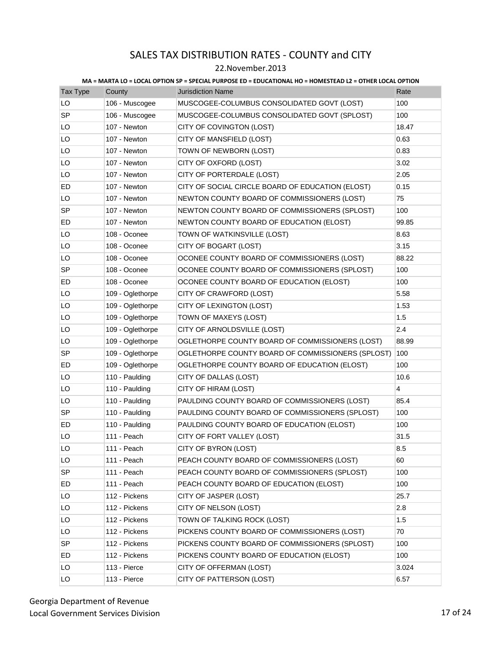### 22.November.2013

| <b>Tax Type</b> | County           | <b>Jurisdiction Name</b>                          | Rate  |
|-----------------|------------------|---------------------------------------------------|-------|
| LO              | 106 - Muscogee   | MUSCOGEE-COLUMBUS CONSOLIDATED GOVT (LOST)        | 100   |
| <b>SP</b>       | 106 - Muscogee   | MUSCOGEE-COLUMBUS CONSOLIDATED GOVT (SPLOST)      | 100   |
| LO              | 107 - Newton     | CITY OF COVINGTON (LOST)                          | 18.47 |
| LO              | 107 - Newton     | CITY OF MANSFIELD (LOST)                          | 0.63  |
| LO              | 107 - Newton     | TOWN OF NEWBORN (LOST)                            | 0.83  |
| LO              | 107 - Newton     | CITY OF OXFORD (LOST)                             | 3.02  |
| LO              | 107 - Newton     | CITY OF PORTERDALE (LOST)                         | 2.05  |
| ED              | 107 - Newton     | CITY OF SOCIAL CIRCLE BOARD OF EDUCATION (ELOST)  | 0.15  |
| LO              | 107 - Newton     | NEWTON COUNTY BOARD OF COMMISSIONERS (LOST)       | 75    |
| <b>SP</b>       | 107 - Newton     | NEWTON COUNTY BOARD OF COMMISSIONERS (SPLOST)     | 100   |
| ED              | 107 - Newton     | NEWTON COUNTY BOARD OF EDUCATION (ELOST)          | 99.85 |
| LO              | 108 - Oconee     | TOWN OF WATKINSVILLE (LOST)                       | 8.63  |
| LO              | 108 - Oconee     | CITY OF BOGART (LOST)                             | 3.15  |
| LO              | 108 - Oconee     | OCONEE COUNTY BOARD OF COMMISSIONERS (LOST)       | 88.22 |
| SP              | 108 - Oconee     | OCONEE COUNTY BOARD OF COMMISSIONERS (SPLOST)     | 100   |
| ED              | 108 - Oconee     | OCONEE COUNTY BOARD OF EDUCATION (ELOST)          | 100   |
| LO              | 109 - Oglethorpe | CITY OF CRAWFORD (LOST)                           | 5.58  |
| LO              | 109 - Oglethorpe | CITY OF LEXINGTON (LOST)                          | 1.53  |
| LO              | 109 - Oglethorpe | TOWN OF MAXEYS (LOST)                             | 1.5   |
| LO              | 109 - Oglethorpe | CITY OF ARNOLDSVILLE (LOST)                       | 2.4   |
| LO              | 109 - Oglethorpe | OGLETHORPE COUNTY BOARD OF COMMISSIONERS (LOST)   | 88.99 |
| SP              | 109 - Oglethorpe | OGLETHORPE COUNTY BOARD OF COMMISSIONERS (SPLOST) | 100   |
| ED              | 109 - Oglethorpe | OGLETHORPE COUNTY BOARD OF EDUCATION (ELOST)      | 100   |
| LO              | 110 - Paulding   | CITY OF DALLAS (LOST)                             | 10.6  |
| LO              | 110 - Paulding   | CITY OF HIRAM (LOST)                              | 4     |
| LO              | 110 - Paulding   | PAULDING COUNTY BOARD OF COMMISSIONERS (LOST)     | 85.4  |
| <b>SP</b>       | 110 - Paulding   | PAULDING COUNTY BOARD OF COMMISSIONERS (SPLOST)   | 100   |
| ED              | 110 - Paulding   | PAULDING COUNTY BOARD OF EDUCATION (ELOST)        | 100   |
| LO              | 111 - Peach      | CITY OF FORT VALLEY (LOST)                        | 31.5  |
| LO              | 111 - Peach      | CITY OF BYRON (LOST)                              | 8.5   |
| LO              | 111 - Peach      | PEACH COUNTY BOARD OF COMMISSIONERS (LOST)        | 60    |
| SP              | 111 - Peach      | PEACH COUNTY BOARD OF COMMISSIONERS (SPLOST)      | 100   |
| ED              | 111 - Peach      | PEACH COUNTY BOARD OF EDUCATION (ELOST)           | 100   |
| LO              | 112 - Pickens    | CITY OF JASPER (LOST)                             | 25.7  |
| LO              | 112 - Pickens    | CITY OF NELSON (LOST)                             | 2.8   |
| LO              | 112 - Pickens    | TOWN OF TALKING ROCK (LOST)                       | 1.5   |
| LO              | 112 - Pickens    | PICKENS COUNTY BOARD OF COMMISSIONERS (LOST)      | 70    |
| SP              | 112 - Pickens    | PICKENS COUNTY BOARD OF COMMISSIONERS (SPLOST)    | 100   |
| ED              | 112 - Pickens    | PICKENS COUNTY BOARD OF EDUCATION (ELOST)         | 100   |
| LO              | 113 - Pierce     | CITY OF OFFERMAN (LOST)                           | 3.024 |
| LO              | 113 - Pierce     | CITY OF PATTERSON (LOST)                          | 6.57  |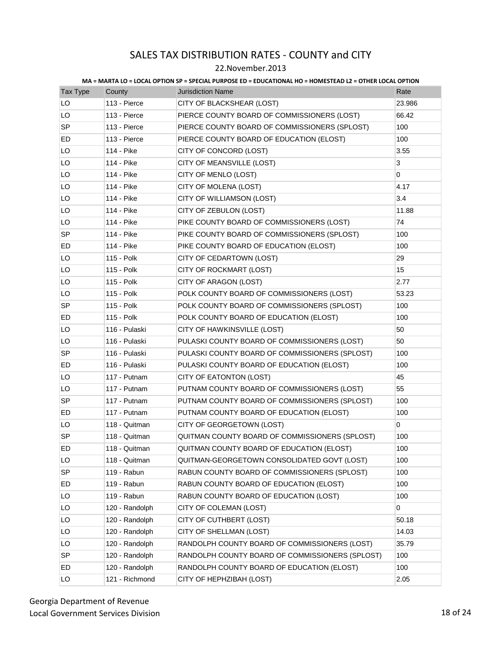### 22.November.2013

| Tax Type  | County         | <b>Jurisdiction Name</b>                        | Rate   |
|-----------|----------------|-------------------------------------------------|--------|
| LO        | 113 - Pierce   | CITY OF BLACKSHEAR (LOST)                       | 23.986 |
| LO        | 113 - Pierce   | PIERCE COUNTY BOARD OF COMMISSIONERS (LOST)     | 66.42  |
| <b>SP</b> | 113 - Pierce   | PIERCE COUNTY BOARD OF COMMISSIONERS (SPLOST)   | 100    |
| ED        | 113 - Pierce   | PIERCE COUNTY BOARD OF EDUCATION (ELOST)        | 100    |
| LO        | 114 - Pike     | CITY OF CONCORD (LOST)                          | 3.55   |
| LO        | 114 - Pike     | CITY OF MEANSVILLE (LOST)                       | 3      |
| LO        | 114 - Pike     | CITY OF MENLO (LOST)                            | 0      |
| LO        | 114 - Pike     | CITY OF MOLENA (LOST)                           | 4.17   |
| LO        | 114 - Pike     | CITY OF WILLIAMSON (LOST)                       | 3.4    |
| LO        | 114 - Pike     | CITY OF ZEBULON (LOST)                          | 11.88  |
| LO        | 114 - Pike     | PIKE COUNTY BOARD OF COMMISSIONERS (LOST)       | 74     |
| SP        | 114 - Pike     | PIKE COUNTY BOARD OF COMMISSIONERS (SPLOST)     | 100    |
| ED        | 114 - Pike     | PIKE COUNTY BOARD OF EDUCATION (ELOST)          | 100    |
| LO        | 115 - Polk     | CITY OF CEDARTOWN (LOST)                        | 29     |
| LO        | 115 - Polk     | CITY OF ROCKMART (LOST)                         | 15     |
| LO        | 115 - Polk     | CITY OF ARAGON (LOST)                           | 2.77   |
| LO        | 115 - Polk     | POLK COUNTY BOARD OF COMMISSIONERS (LOST)       | 53.23  |
| SP        | 115 - Polk     | POLK COUNTY BOARD OF COMMISSIONERS (SPLOST)     | 100    |
| ED        | 115 - Polk     | POLK COUNTY BOARD OF EDUCATION (ELOST)          | 100    |
| LO        | 116 - Pulaski  | CITY OF HAWKINSVILLE (LOST)                     | 50     |
| LO        | 116 - Pulaski  | PULASKI COUNTY BOARD OF COMMISSIONERS (LOST)    | 50     |
| <b>SP</b> | 116 - Pulaski  | PULASKI COUNTY BOARD OF COMMISSIONERS (SPLOST)  | 100    |
| ED        | 116 - Pulaski  | PULASKI COUNTY BOARD OF EDUCATION (ELOST)       | 100    |
| LO        | 117 - Putnam   | CITY OF EATONTON (LOST)                         | 45     |
| LO        | 117 - Putnam   | PUTNAM COUNTY BOARD OF COMMISSIONERS (LOST)     | 55     |
| <b>SP</b> | 117 - Putnam   | PUTNAM COUNTY BOARD OF COMMISSIONERS (SPLOST)   | 100    |
| ED        | 117 - Putnam   | PUTNAM COUNTY BOARD OF EDUCATION (ELOST)        | 100    |
| LO        | 118 - Quitman  | CITY OF GEORGETOWN (LOST)                       | 0      |
| <b>SP</b> | 118 - Quitman  | QUITMAN COUNTY BOARD OF COMMISSIONERS (SPLOST)  | 100    |
| ED        | 118 - Quitman  | QUITMAN COUNTY BOARD OF EDUCATION (ELOST)       | 100    |
| LO        | 118 - Quitman  | QUITMAN-GEORGETOWN CONSOLIDATED GOVT (LOST)     | 100    |
| <b>SP</b> | 119 - Rabun    | RABUN COUNTY BOARD OF COMMISSIONERS (SPLOST)    | 100    |
| ED        | 119 - Rabun    | RABUN COUNTY BOARD OF EDUCATION (ELOST)         | 100    |
| LO        | 119 - Rabun    | RABUN COUNTY BOARD OF EDUCATION (LOST)          | 100    |
| LO        | 120 - Randolph | CITY OF COLEMAN (LOST)                          | 0      |
| LO        | 120 - Randolph | CITY OF CUTHBERT (LOST)                         | 50.18  |
| LO        | 120 - Randolph | CITY OF SHELLMAN (LOST)                         | 14.03  |
| LO        | 120 - Randolph | RANDOLPH COUNTY BOARD OF COMMISSIONERS (LOST)   | 35.79  |
| SP        | 120 - Randolph | RANDOLPH COUNTY BOARD OF COMMISSIONERS (SPLOST) | 100    |
| ED        | 120 - Randolph | RANDOLPH COUNTY BOARD OF EDUCATION (ELOST)      | 100    |
| LO        | 121 - Richmond | CITY OF HEPHZIBAH (LOST)                        | 2.05   |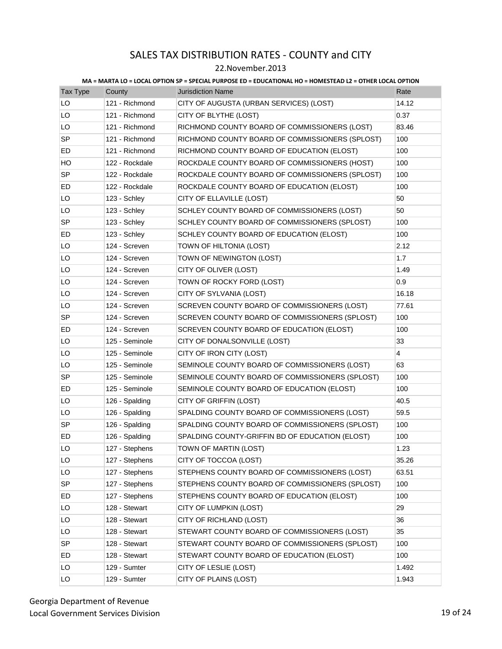### 22.November.2013

| Tax Type  | County         | <b>Jurisdiction Name</b>                        | Rate  |
|-----------|----------------|-------------------------------------------------|-------|
| LO        | 121 - Richmond | CITY OF AUGUSTA (URBAN SERVICES) (LOST)         | 14.12 |
| LO        | 121 - Richmond | CITY OF BLYTHE (LOST)                           | 0.37  |
| LO        | 121 - Richmond | RICHMOND COUNTY BOARD OF COMMISSIONERS (LOST)   | 83.46 |
| <b>SP</b> | 121 - Richmond | RICHMOND COUNTY BOARD OF COMMISSIONERS (SPLOST) | 100   |
| ED        | 121 - Richmond | RICHMOND COUNTY BOARD OF EDUCATION (ELOST)      | 100   |
| HO        | 122 - Rockdale | ROCKDALE COUNTY BOARD OF COMMISSIONERS (HOST)   | 100   |
| <b>SP</b> | 122 - Rockdale | ROCKDALE COUNTY BOARD OF COMMISSIONERS (SPLOST) | 100   |
| ED        | 122 - Rockdale | ROCKDALE COUNTY BOARD OF EDUCATION (ELOST)      | 100   |
| LO        | 123 - Schley   | CITY OF ELLAVILLE (LOST)                        | 50    |
| LO        | 123 - Schley   | SCHLEY COUNTY BOARD OF COMMISSIONERS (LOST)     | 50    |
| <b>SP</b> | 123 - Schley   | SCHLEY COUNTY BOARD OF COMMISSIONERS (SPLOST)   | 100   |
| ED        | 123 - Schley   | SCHLEY COUNTY BOARD OF EDUCATION (ELOST)        | 100   |
| LO        | 124 - Screven  | TOWN OF HILTONIA (LOST)                         | 2.12  |
| LO        | 124 - Screven  | TOWN OF NEWINGTON (LOST)                        | 1.7   |
| LO        | 124 - Screven  | CITY OF OLIVER (LOST)                           | 1.49  |
| LO        | 124 - Screven  | TOWN OF ROCKY FORD (LOST)                       | 0.9   |
| LO        | 124 - Screven  | CITY OF SYLVANIA (LOST)                         | 16.18 |
| LO        | 124 - Screven  | SCREVEN COUNTY BOARD OF COMMISSIONERS (LOST)    | 77.61 |
| <b>SP</b> | 124 - Screven  | SCREVEN COUNTY BOARD OF COMMISSIONERS (SPLOST)  | 100   |
| ED.       | 124 - Screven  | SCREVEN COUNTY BOARD OF EDUCATION (ELOST)       | 100   |
| LO        | 125 - Seminole | CITY OF DONALSONVILLE (LOST)                    | 33    |
| LO        | 125 - Seminole | CITY OF IRON CITY (LOST)                        | 4     |
| LO        | 125 - Seminole | SEMINOLE COUNTY BOARD OF COMMISSIONERS (LOST)   | 63    |
| <b>SP</b> | 125 - Seminole | SEMINOLE COUNTY BOARD OF COMMISSIONERS (SPLOST) | 100   |
| ED        | 125 - Seminole | SEMINOLE COUNTY BOARD OF EDUCATION (ELOST)      | 100   |
| LO        | 126 - Spalding | CITY OF GRIFFIN (LOST)                          | 40.5  |
| LO        | 126 - Spalding | SPALDING COUNTY BOARD OF COMMISSIONERS (LOST)   | 59.5  |
| SP        | 126 - Spalding | SPALDING COUNTY BOARD OF COMMISSIONERS (SPLOST) | 100   |
| ED        | 126 - Spalding | SPALDING COUNTY-GRIFFIN BD OF EDUCATION (ELOST) | 100   |
| LO        | 127 - Stephens | <b>TOWN OF MARTIN (LOST)</b>                    | 1.23  |
| LO        | 127 - Stephens | CITY OF TOCCOA (LOST)                           | 35.26 |
| LO        | 127 - Stephens | STEPHENS COUNTY BOARD OF COMMISSIONERS (LOST)   | 63.51 |
| <b>SP</b> | 127 - Stephens | STEPHENS COUNTY BOARD OF COMMISSIONERS (SPLOST) | 100   |
| ED        | 127 - Stephens | STEPHENS COUNTY BOARD OF EDUCATION (ELOST)      | 100   |
| LO        | 128 - Stewart  | CITY OF LUMPKIN (LOST)                          | 29    |
| LO        | 128 - Stewart  | CITY OF RICHLAND (LOST)                         | 36    |
| LO        | 128 - Stewart  | STEWART COUNTY BOARD OF COMMISSIONERS (LOST)    | 35    |
| SP        | 128 - Stewart  | STEWART COUNTY BOARD OF COMMISSIONERS (SPLOST)  | 100   |
| ED        | 128 - Stewart  | STEWART COUNTY BOARD OF EDUCATION (ELOST)       | 100   |
| LO        | 129 - Sumter   | CITY OF LESLIE (LOST)                           | 1.492 |
| LO        | 129 - Sumter   | CITY OF PLAINS (LOST)                           | 1.943 |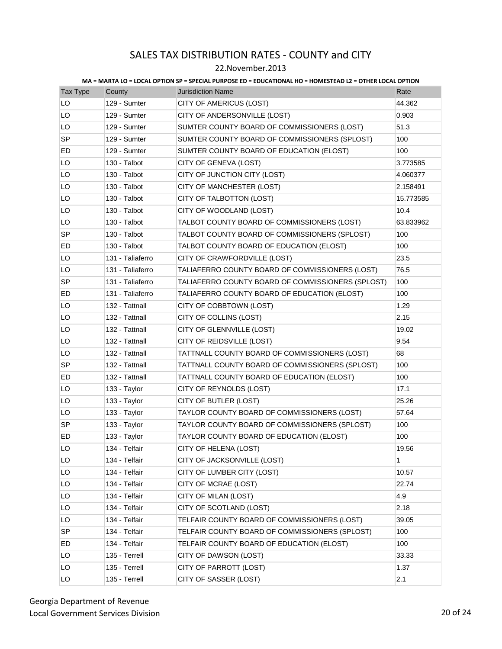### 22.November.2013

| Tax Type  | County           | <b>Jurisdiction Name</b>                          | Rate      |
|-----------|------------------|---------------------------------------------------|-----------|
| LO        | 129 - Sumter     | CITY OF AMERICUS (LOST)                           | 44.362    |
| LO        | 129 - Sumter     | CITY OF ANDERSONVILLE (LOST)                      | 0.903     |
| LO        | 129 - Sumter     | SUMTER COUNTY BOARD OF COMMISSIONERS (LOST)       | 51.3      |
| <b>SP</b> | 129 - Sumter     | SUMTER COUNTY BOARD OF COMMISSIONERS (SPLOST)     | 100       |
| ED        | 129 - Sumter     | SUMTER COUNTY BOARD OF EDUCATION (ELOST)          | 100       |
| LO        | 130 - Talbot     | CITY OF GENEVA (LOST)                             | 3.773585  |
| LO        | 130 - Talbot     | CITY OF JUNCTION CITY (LOST)                      | 4.060377  |
| LO        | 130 - Talbot     | CITY OF MANCHESTER (LOST)                         | 2.158491  |
| LO        | 130 - Talbot     | CITY OF TALBOTTON (LOST)                          | 15.773585 |
| LO        | 130 - Talbot     | CITY OF WOODLAND (LOST)                           | 10.4      |
| LO        | 130 - Talbot     | TALBOT COUNTY BOARD OF COMMISSIONERS (LOST)       | 63.833962 |
| <b>SP</b> | 130 - Talbot     | TALBOT COUNTY BOARD OF COMMISSIONERS (SPLOST)     | 100       |
| ED        | 130 - Talbot     | TALBOT COUNTY BOARD OF EDUCATION (ELOST)          | 100       |
| LO        | 131 - Taliaferro | CITY OF CRAWFORDVILLE (LOST)                      | 23.5      |
| LO        | 131 - Taliaferro | TALIAFERRO COUNTY BOARD OF COMMISSIONERS (LOST)   | 76.5      |
| SP        | 131 - Taliaferro | TALIAFERRO COUNTY BOARD OF COMMISSIONERS (SPLOST) | 100       |
| ED        | 131 - Taliaferro | TALIAFERRO COUNTY BOARD OF EDUCATION (ELOST)      | 100       |
| LO        | 132 - Tattnall   | CITY OF COBBTOWN (LOST)                           | 1.29      |
| LO        | 132 - Tattnall   | CITY OF COLLINS (LOST)                            | 2.15      |
| LO        | 132 - Tattnall   | CITY OF GLENNVILLE (LOST)                         | 19.02     |
| LO        | 132 - Tattnall   | CITY OF REIDSVILLE (LOST)                         | 9.54      |
| LO        | 132 - Tattnall   | TATTNALL COUNTY BOARD OF COMMISSIONERS (LOST)     | 68        |
| <b>SP</b> | 132 - Tattnall   | TATTNALL COUNTY BOARD OF COMMISSIONERS (SPLOST)   | 100       |
| ED        | 132 - Tattnall   | TATTNALL COUNTY BOARD OF EDUCATION (ELOST)        | 100       |
| LO        | 133 - Taylor     | CITY OF REYNOLDS (LOST)                           | 17.1      |
| LO        | 133 - Taylor     | CITY OF BUTLER (LOST)                             | 25.26     |
| LO        | 133 - Taylor     | TAYLOR COUNTY BOARD OF COMMISSIONERS (LOST)       | 57.64     |
| SP        | 133 - Taylor     | TAYLOR COUNTY BOARD OF COMMISSIONERS (SPLOST)     | 100       |
| ED        | 133 - Taylor     | TAYLOR COUNTY BOARD OF EDUCATION (ELOST)          | 100       |
| LO        | 134 - Telfair    | CITY OF HELENA (LOST)                             | 19.56     |
| LO        | 134 - Telfair    | CITY OF JACKSONVILLE (LOST)                       | 1         |
| LO        | 134 - Telfair    | CITY OF LUMBER CITY (LOST)                        | 10.57     |
| LO        | 134 - Telfair    | CITY OF MCRAE (LOST)                              | 22.74     |
| LO        | 134 - Telfair    | CITY OF MILAN (LOST)                              | 4.9       |
| LO        | 134 - Telfair    | CITY OF SCOTLAND (LOST)                           | 2.18      |
| LO        | 134 - Telfair    | TELFAIR COUNTY BOARD OF COMMISSIONERS (LOST)      | 39.05     |
| <b>SP</b> | 134 - Telfair    | TELFAIR COUNTY BOARD OF COMMISSIONERS (SPLOST)    | 100       |
| ED        | 134 - Telfair    | TELFAIR COUNTY BOARD OF EDUCATION (ELOST)         | 100       |
| LO        | 135 - Terrell    | CITY OF DAWSON (LOST)                             | 33.33     |
| LO        | 135 - Terrell    | CITY OF PARROTT (LOST)                            | 1.37      |
| LO        | 135 - Terrell    | CITY OF SASSER (LOST)                             | 2.1       |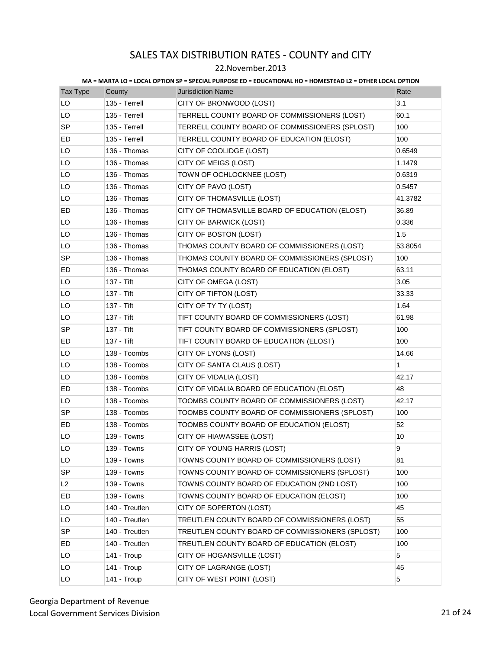### 22.November.2013

| <b>Tax Type</b> | County         | <b>Jurisdiction Name</b>                        | Rate    |
|-----------------|----------------|-------------------------------------------------|---------|
| LO              | 135 - Terrell  | CITY OF BRONWOOD (LOST)                         | 3.1     |
| LO              | 135 - Terrell  | TERRELL COUNTY BOARD OF COMMISSIONERS (LOST)    | 60.1    |
| <b>SP</b>       | 135 - Terrell  | TERRELL COUNTY BOARD OF COMMISSIONERS (SPLOST)  | 100     |
| ED              | 135 - Terrell  | TERRELL COUNTY BOARD OF EDUCATION (ELOST)       | 100     |
| LO              | 136 - Thomas   | CITY OF COOLIDGE (LOST)                         | 0.6549  |
| LO              | 136 - Thomas   | CITY OF MEIGS (LOST)                            | 1.1479  |
| LO              | 136 - Thomas   | TOWN OF OCHLOCKNEE (LOST)                       | 0.6319  |
| LO              | 136 - Thomas   | CITY OF PAVO (LOST)                             | 0.5457  |
| LO              | 136 - Thomas   | CITY OF THOMASVILLE (LOST)                      | 41.3782 |
| <b>ED</b>       | 136 - Thomas   | CITY OF THOMASVILLE BOARD OF EDUCATION (ELOST)  | 36.89   |
| LO              | 136 - Thomas   | CITY OF BARWICK (LOST)                          | 0.336   |
| LO              | 136 - Thomas   | CITY OF BOSTON (LOST)                           | 1.5     |
| LO              | 136 - Thomas   | THOMAS COUNTY BOARD OF COMMISSIONERS (LOST)     | 53.8054 |
| <b>SP</b>       | 136 - Thomas   | THOMAS COUNTY BOARD OF COMMISSIONERS (SPLOST)   | 100     |
| ED              | 136 - Thomas   | THOMAS COUNTY BOARD OF EDUCATION (ELOST)        | 63.11   |
| LO              | 137 - Tift     | CITY OF OMEGA (LOST)                            | 3.05    |
| LO              | 137 - Tift     | CITY OF TIFTON (LOST)                           | 33.33   |
| LO              | 137 - Tift     | CITY OF TY TY (LOST)                            | 1.64    |
| LO              | 137 - Tift     | TIFT COUNTY BOARD OF COMMISSIONERS (LOST)       | 61.98   |
| <b>SP</b>       | 137 - Tift     | TIFT COUNTY BOARD OF COMMISSIONERS (SPLOST)     | 100     |
| ED              | 137 - Tift     | TIFT COUNTY BOARD OF EDUCATION (ELOST)          | 100     |
| LO              | 138 - Toombs   | CITY OF LYONS (LOST)                            | 14.66   |
| LO              | 138 - Toombs   | CITY OF SANTA CLAUS (LOST)                      | 1       |
| LO              | 138 - Toombs   | CITY OF VIDALIA (LOST)                          | 42.17   |
| ED              | 138 - Toombs   | CITY OF VIDALIA BOARD OF EDUCATION (ELOST)      | 48      |
| LO              | 138 - Toombs   | TOOMBS COUNTY BOARD OF COMMISSIONERS (LOST)     | 42.17   |
| <b>SP</b>       | 138 - Toombs   | TOOMBS COUNTY BOARD OF COMMISSIONERS (SPLOST)   | 100     |
| ED              | 138 - Toombs   | TOOMBS COUNTY BOARD OF EDUCATION (ELOST)        | 52      |
| LO              | 139 - Towns    | CITY OF HIAWASSEE (LOST)                        | 10      |
| LO              | 139 - Towns    | CITY OF YOUNG HARRIS (LOST)                     | 9       |
| LO              | 139 - Towns    | TOWNS COUNTY BOARD OF COMMISSIONERS (LOST)      | 81      |
| SP              | 139 - Towns    | TOWNS COUNTY BOARD OF COMMISSIONERS (SPLOST)    | 100     |
| L2              | 139 - Towns    | TOWNS COUNTY BOARD OF EDUCATION (2ND LOST)      | 100     |
| ED              | 139 - Towns    | TOWNS COUNTY BOARD OF EDUCATION (ELOST)         | 100     |
| LO              | 140 - Treutlen | CITY OF SOPERTON (LOST)                         | 45      |
| LO              | 140 - Treutlen | TREUTLEN COUNTY BOARD OF COMMISSIONERS (LOST)   | 55      |
| SP              | 140 - Treutlen | TREUTLEN COUNTY BOARD OF COMMISSIONERS (SPLOST) | 100     |
| ED              | 140 - Treutlen | TREUTLEN COUNTY BOARD OF EDUCATION (ELOST)      | 100     |
| LO              | 141 - Troup    | CITY OF HOGANSVILLE (LOST)                      | 5       |
| LO              | 141 - Troup    | CITY OF LAGRANGE (LOST)                         | 45      |
| LO              | 141 - Troup    | CITY OF WEST POINT (LOST)                       | 5       |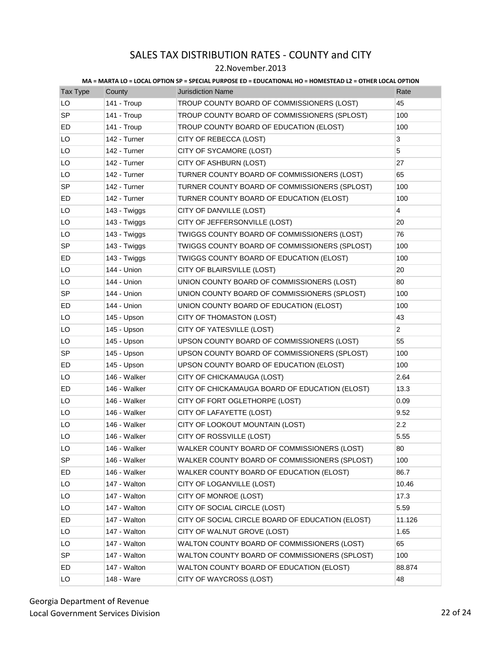### 22.November.2013

| Tax Type  | County       | <u>INA – INARIA LO – LOCAL OF HOR UF – UF LCIAL FORFOUL LD – LDOCATIONAL HO – HONILULAD LL – OTHER LOCAL OF HOR</u><br><b>Jurisdiction Name</b> | Rate           |
|-----------|--------------|-------------------------------------------------------------------------------------------------------------------------------------------------|----------------|
| LO        | 141 - Troup  | TROUP COUNTY BOARD OF COMMISSIONERS (LOST)                                                                                                      | 45             |
| <b>SP</b> | 141 - Troup  | TROUP COUNTY BOARD OF COMMISSIONERS (SPLOST)                                                                                                    | 100            |
| ED        | 141 - Troup  | TROUP COUNTY BOARD OF EDUCATION (ELOST)                                                                                                         | 100            |
| LO        | 142 - Turner | CITY OF REBECCA (LOST)                                                                                                                          | 3              |
| LO        | 142 - Turner | CITY OF SYCAMORE (LOST)                                                                                                                         | 5              |
| LO        | 142 - Turner | CITY OF ASHBURN (LOST)                                                                                                                          | 27             |
| LO        | 142 - Turner | TURNER COUNTY BOARD OF COMMISSIONERS (LOST)                                                                                                     | 65             |
| <b>SP</b> | 142 - Turner | TURNER COUNTY BOARD OF COMMISSIONERS (SPLOST)                                                                                                   | 100            |
| ED        | 142 - Turner | TURNER COUNTY BOARD OF EDUCATION (ELOST)                                                                                                        | 100            |
| LO        | 143 - Twiggs | CITY OF DANVILLE (LOST)                                                                                                                         | 4              |
| LO        | 143 - Twiggs | CITY OF JEFFERSONVILLE (LOST)                                                                                                                   | 20             |
| LO        | 143 - Twiggs | TWIGGS COUNTY BOARD OF COMMISSIONERS (LOST)                                                                                                     | 76             |
| <b>SP</b> | 143 - Twiggs | TWIGGS COUNTY BOARD OF COMMISSIONERS (SPLOST)                                                                                                   | 100            |
| ED        | 143 - Twiggs | TWIGGS COUNTY BOARD OF EDUCATION (ELOST)                                                                                                        | 100            |
| LO        | 144 - Union  | CITY OF BLAIRSVILLE (LOST)                                                                                                                      | 20             |
| LO        | 144 - Union  | UNION COUNTY BOARD OF COMMISSIONERS (LOST)                                                                                                      | 80             |
| <b>SP</b> | 144 - Union  | UNION COUNTY BOARD OF COMMISSIONERS (SPLOST)                                                                                                    | 100            |
| ED        | 144 - Union  | UNION COUNTY BOARD OF EDUCATION (ELOST)                                                                                                         | 100            |
| LO        | 145 - Upson  | CITY OF THOMASTON (LOST)                                                                                                                        | 43             |
| LO        | 145 - Upson  | CITY OF YATESVILLE (LOST)                                                                                                                       | $\overline{2}$ |
| LO        | 145 - Upson  | UPSON COUNTY BOARD OF COMMISSIONERS (LOST)                                                                                                      | 55             |
| SP        | 145 - Upson  | UPSON COUNTY BOARD OF COMMISSIONERS (SPLOST)                                                                                                    | 100            |
| ED        | 145 - Upson  | UPSON COUNTY BOARD OF EDUCATION (ELOST)                                                                                                         | 100            |
| LO        | 146 - Walker | CITY OF CHICKAMAUGA (LOST)                                                                                                                      | 2.64           |
| ED        | 146 - Walker | CITY OF CHICKAMAUGA BOARD OF EDUCATION (ELOST)                                                                                                  | 13.3           |
| LO        | 146 - Walker | CITY OF FORT OGLETHORPE (LOST)                                                                                                                  | 0.09           |
| LO        | 146 - Walker | CITY OF LAFAYETTE (LOST)                                                                                                                        | 9.52           |
| LO        | 146 - Walker | CITY OF LOOKOUT MOUNTAIN (LOST)                                                                                                                 | 2.2            |
| LO        | 146 - Walker | CITY OF ROSSVILLE (LOST)                                                                                                                        | 5.55           |
| LO        | 146 - Walker | WALKER COUNTY BOARD OF COMMISSIONERS (LOST)                                                                                                     | 80             |
| SP        | 146 - Walker | WALKER COUNTY BOARD OF COMMISSIONERS (SPLOST)                                                                                                   | 100            |
| ED        | 146 - Walker | WALKER COUNTY BOARD OF EDUCATION (ELOST)                                                                                                        | 86.7           |
| LO        | 147 - Walton | CITY OF LOGANVILLE (LOST)                                                                                                                       | 10.46          |
| LO        | 147 - Walton | CITY OF MONROE (LOST)                                                                                                                           | 17.3           |
| LO        | 147 - Walton | CITY OF SOCIAL CIRCLE (LOST)                                                                                                                    | 5.59           |
| ED        | 147 - Walton | CITY OF SOCIAL CIRCLE BOARD OF EDUCATION (ELOST)                                                                                                | 11.126         |
| LO        | 147 - Walton | CITY OF WALNUT GROVE (LOST)                                                                                                                     | 1.65           |
| LO        | 147 - Walton | WALTON COUNTY BOARD OF COMMISSIONERS (LOST)                                                                                                     | 65             |
| <b>SP</b> | 147 - Walton | WALTON COUNTY BOARD OF COMMISSIONERS (SPLOST)                                                                                                   | 100            |
| ED        | 147 - Walton | WALTON COUNTY BOARD OF EDUCATION (ELOST)                                                                                                        | 88.874         |
| LO        | 148 - Ware   | CITY OF WAYCROSS (LOST)                                                                                                                         | 48             |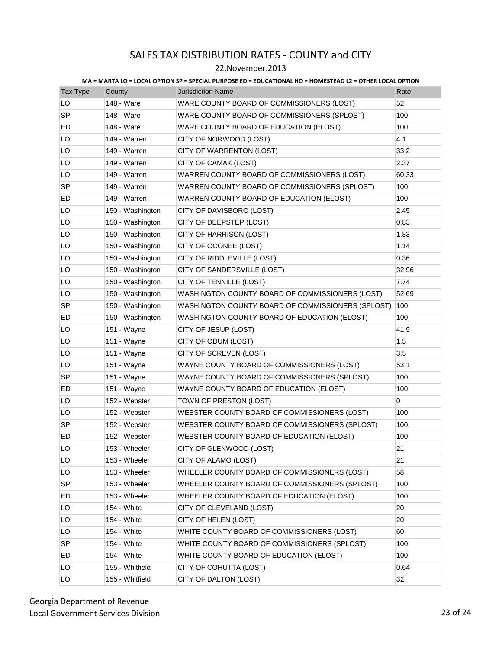### 22.November.2013

| Tax Type  | County           | <b>Jurisdiction Name</b>                          | Rate  |
|-----------|------------------|---------------------------------------------------|-------|
| LO        | 148 - Ware       | WARE COUNTY BOARD OF COMMISSIONERS (LOST)         | 52    |
| <b>SP</b> | 148 - Ware       | WARE COUNTY BOARD OF COMMISSIONERS (SPLOST)       | 100   |
| ED        | 148 - Ware       | WARE COUNTY BOARD OF EDUCATION (ELOST)            | 100   |
| LO        | 149 - Warren     | CITY OF NORWOOD (LOST)                            | 4.1   |
| LO        | 149 - Warren     | CITY OF WARRENTON (LOST)                          | 33.2  |
| LO        | 149 - Warren     | CITY OF CAMAK (LOST)                              | 2.37  |
| LO        | 149 - Warren     | WARREN COUNTY BOARD OF COMMISSIONERS (LOST)       | 60.33 |
| SP        | 149 - Warren     | WARREN COUNTY BOARD OF COMMISSIONERS (SPLOST)     | 100   |
| ED        | 149 - Warren     | WARREN COUNTY BOARD OF EDUCATION (ELOST)          | 100   |
| LO        | 150 - Washington | CITY OF DAVISBORO (LOST)                          | 2.45  |
| LO        | 150 - Washington | CITY OF DEEPSTEP (LOST)                           | 0.83  |
| LO        | 150 - Washington | CITY OF HARRISON (LOST)                           | 1.83  |
| LO        | 150 - Washington | CITY OF OCONEE (LOST)                             | 1.14  |
| LO        | 150 - Washington | CITY OF RIDDLEVILLE (LOST)                        | 0.36  |
| LO        | 150 - Washington | CITY OF SANDERSVILLE (LOST)                       | 32.96 |
| LO        | 150 - Washington | CITY OF TENNILLE (LOST)                           | 7.74  |
| LO        | 150 - Washington | WASHINGTON COUNTY BOARD OF COMMISSIONERS (LOST)   | 52.69 |
| <b>SP</b> | 150 - Washington | WASHINGTON COUNTY BOARD OF COMMISSIONERS (SPLOST) | 100   |
| ED        | 150 - Washington | WASHINGTON COUNTY BOARD OF EDUCATION (ELOST)      | 100   |
| LO        | 151 - Wayne      | CITY OF JESUP (LOST)                              | 41.9  |
| LO        | 151 - Wayne      | CITY OF ODUM (LOST)                               | 1.5   |
| LO        | 151 - Wayne      | CITY OF SCREVEN (LOST)                            | 3.5   |
| LO        | 151 - Wayne      | WAYNE COUNTY BOARD OF COMMISSIONERS (LOST)        | 53.1  |
| <b>SP</b> | 151 - Wayne      | WAYNE COUNTY BOARD OF COMMISSIONERS (SPLOST)      | 100   |
| ED        | 151 - Wayne      | WAYNE COUNTY BOARD OF EDUCATION (ELOST)           | 100   |
| LO        | 152 - Webster    | TOWN OF PRESTON (LOST)                            | 0     |
| LO        | 152 - Webster    | WEBSTER COUNTY BOARD OF COMMISSIONERS (LOST)      | 100   |
| <b>SP</b> | 152 - Webster    | WEBSTER COUNTY BOARD OF COMMISSIONERS (SPLOST)    | 100   |
| ED        | 152 - Webster    | WEBSTER COUNTY BOARD OF EDUCATION (ELOST)         | 100   |
| LO        | 153 - Wheeler    | CITY OF GLENWOOD (LOST)                           | 21    |
| LO        | 153 - Wheeler    | CITY OF ALAMO (LOST)                              | 21    |
| LO        | 153 - Wheeler    | WHEELER COUNTY BOARD OF COMMISSIONERS (LOST)      | 58    |
| SP        | 153 - Wheeler    | WHEELER COUNTY BOARD OF COMMISSIONERS (SPLOST)    | 100   |
| ED.       | 153 - Wheeler    | WHEELER COUNTY BOARD OF EDUCATION (ELOST)         | 100   |
| LO        | 154 - White      | CITY OF CLEVELAND (LOST)                          | 20    |
| LO        | 154 - White      | CITY OF HELEN (LOST)                              | 20    |
| LO        | 154 - White      | WHITE COUNTY BOARD OF COMMISSIONERS (LOST)        | 60    |
| SP        | 154 - White      | WHITE COUNTY BOARD OF COMMISSIONERS (SPLOST)      | 100   |
| ED        | 154 - White      | WHITE COUNTY BOARD OF EDUCATION (ELOST)           | 100   |
| LO        | 155 - Whitfield  | CITY OF COHUTTA (LOST)                            | 0.64  |
| LO        | 155 - Whitfield  | CITY OF DALTON (LOST)                             | 32    |